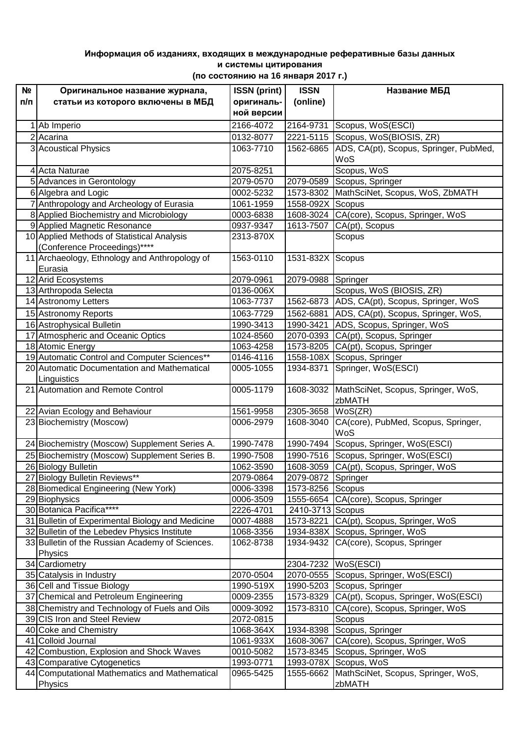## **Информация об изданиях, входящих в международные реферативные базы данных и системы цитирования (по состоянию на 16 января 2017 г.)**

| N <sub>2</sub> | Оригинальное название журнала,                   | <b>ISSN</b> (print)    | <b>ISSN</b>         | Название МБД                                                             |
|----------------|--------------------------------------------------|------------------------|---------------------|--------------------------------------------------------------------------|
| п/п            | статьи из которого включены в МБД                | оригиналь-             | (online)            |                                                                          |
|                |                                                  | ной версии             |                     |                                                                          |
| 1              | Ab Imperio                                       | 2166-4072              | 2164-9731           | Scopus, WoS(ESCI)                                                        |
|                | $2$ Acarina                                      | 0132-8077              | 2221-5115           | Scopus, WoS(BIOSIS, ZR)                                                  |
|                | 3 Acoustical Physics                             | 1063-7710              | 1562-6865           | ADS, CA(pt), Scopus, Springer, PubMed,                                   |
|                |                                                  |                        |                     | WoS                                                                      |
|                | 4 Acta Naturae                                   | 2075-8251              |                     | Scopus, WoS                                                              |
|                | 5 Advances in Gerontology                        | 2079-0570              |                     | 2079-0589 Scopus, Springer                                               |
|                | 6 Algebra and Logic                              | 0002-5232              |                     | 1573-8302 MathSciNet, Scopus, WoS, ZbMATH                                |
|                | 7 Anthropology and Archeology of Eurasia         | 1061-1959              | 1558-092X Scopus    |                                                                          |
|                | 8 Applied Biochemistry and Microbiology          | 0003-6838              | 1608-3024           | CA(core), Scopus, Springer, WoS                                          |
|                | 9 Applied Magnetic Resonance                     | 0937-9347              | 1613-7507           | CA(pt), Scopus                                                           |
|                | 10 Applied Methods of Statistical Analysis       | 2313-870X              |                     | Scopus                                                                   |
|                | (Conference Proceedings)****                     |                        |                     |                                                                          |
|                | 11 Archaeology, Ethnology and Anthropology of    | 1563-0110              | 1531-832X Scopus    |                                                                          |
|                | Eurasia                                          |                        |                     |                                                                          |
|                | 12 Arid Ecosystems                               | 2079-0961              | 2079-0988 Springer  |                                                                          |
|                | 13 Arthropoda Selecta<br>14 Astronomy Letters    | 0136-006X<br>1063-7737 |                     | Scopus, WoS (BIOSIS, ZR)<br>1562-6873 ADS, CA(pt), Scopus, Springer, WoS |
|                |                                                  |                        |                     |                                                                          |
|                | 15 Astronomy Reports                             | 1063-7729              |                     | 1562-6881 ADS, CA(pt), Scopus, Springer, WoS,                            |
|                | 16 Astrophysical Bulletin                        | 1990-3413              | 1990-3421           | ADS, Scopus, Springer, WoS                                               |
|                | 17 Atmospheric and Oceanic Optics                | 1024-8560              | 2070-0393           | CA(pt), Scopus, Springer                                                 |
|                | 18 Atomic Energy                                 | 1063-4258              | 1573-8205           | CA(pt), Scopus, Springer                                                 |
|                | 19 Automatic Control and Computer Sciences**     | 0146-4116              |                     | 1558-108X Scopus, Springer                                               |
|                | 20 Automatic Documentation and Mathematical      | 0005-1055              | 1934-8371           | Springer, WoS(ESCI)                                                      |
|                | Linguistics<br>21 Automation and Remote Control  | 0005-1179              |                     |                                                                          |
|                |                                                  |                        | 1608-3032           | MathSciNet, Scopus, Springer, WoS,<br>zbMATH                             |
|                | 22 Avian Ecology and Behaviour                   | 1561-9958              | 2305-3658           | WoS(ZR)                                                                  |
|                | 23 Biochemistry (Moscow)                         | 0006-2979              | 1608-3040           | CA(core), PubMed, Scopus, Springer,                                      |
|                |                                                  |                        |                     | WoS                                                                      |
|                | 24 Biochemistry (Moscow) Supplement Series A.    | 1990-7478              | 1990-7494           | Scopus, Springer, WoS(ESCI)                                              |
|                | 25 Biochemistry (Moscow) Supplement Series B.    | 1990-7508              |                     | 1990-7516 Scopus, Springer, WoS(ESCI)                                    |
|                | 26 Biology Bulletin                              | 1062-3590              | 1608-3059           | CA(pt), Scopus, Springer, WoS                                            |
|                | 27 Biology Bulletin Reviews**                    | 2079-0864              | 2079-0872 Springer  |                                                                          |
|                | 28 Biomedical Engineering (New York)             | 0006-3398              | 1573-8256 Scopus    |                                                                          |
|                | 29 Biophysics                                    | 0006-3509              |                     | 1555-6654 CA(core), Scopus, Springer                                     |
|                | 30 Botanica Pacifica****                         | 2226-4701              | 2410-3713 Scopus    |                                                                          |
|                | 31 Bulletin of Experimental Biology and Medicine | 0007-4888              | 1573-8221           | CA(pt), Scopus, Springer, WoS                                            |
|                | 32 Bulletin of the Lebedev Physics Institute     | 1068-3356              |                     | 1934-838X Scopus, Springer, WoS                                          |
|                | 33 Bulletin of the Russian Academy of Sciences.  | 1062-8738              | 1934-9432           | CA(core), Scopus, Springer                                               |
|                | Physics                                          |                        |                     |                                                                          |
|                | 34 Cardiometry                                   |                        | 2304-7232 WoS(ESCI) |                                                                          |
|                | 35 Catalysis in Industry                         | 2070-0504              |                     | 2070-0555 Scopus, Springer, WoS(ESCI)                                    |
|                | 36 Cell and Tissue Biology                       | 1990-519X              |                     | 1990-5203 Scopus, Springer                                               |
|                | 37 Chemical and Petroleum Engineering            | 0009-2355              | 1573-8329           | CA(pt), Scopus, Springer, WoS(ESCI)                                      |
|                | 38 Chemistry and Technology of Fuels and Oils    | 0009-3092              | 1573-8310           | CA(core), Scopus, Springer, WoS                                          |
|                | 39 CIS Iron and Steel Review                     | 2072-0815              |                     | Scopus                                                                   |
|                | 40 Coke and Chemistry                            | 1068-364X              |                     | 1934-8398 Scopus, Springer                                               |
|                | 41 Colloid Journal                               | 1061-933X              | 1608-3067           | CA(core), Scopus, Springer, WoS                                          |
|                | 42 Combustion, Explosion and Shock Waves         | 0010-5082              | 1573-8345           | Scopus, Springer, WoS                                                    |
|                | 43 Comparative Cytogenetics                      | 1993-0771              | 1993-078X           | Scopus, WoS                                                              |
|                | 44 Computational Mathematics and Mathematical    | 0965-5425              | 1555-6662           | MathSciNet, Scopus, Springer, WoS,                                       |
|                | Physics                                          |                        |                     | zbMATH                                                                   |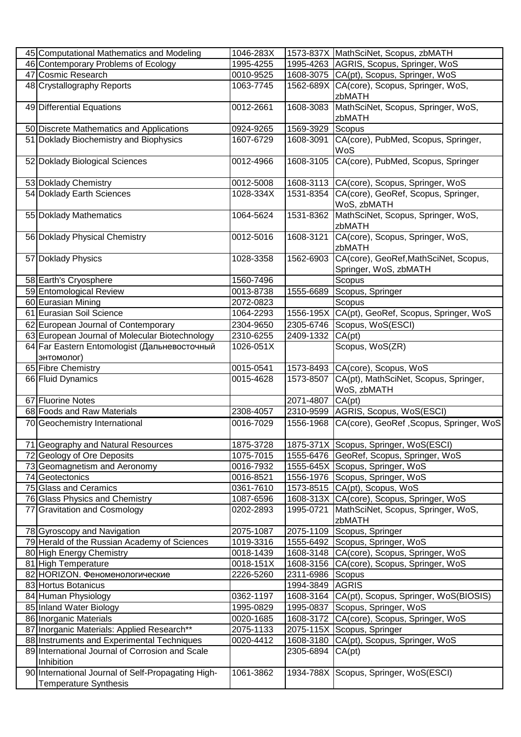| 45 Computational Mathematics and Modeling          | 1046-283X |                  | 1573-837X MathSciNet, Scopus, zbMATH            |
|----------------------------------------------------|-----------|------------------|-------------------------------------------------|
| 46 Contemporary Problems of Ecology                | 1995-4255 |                  | 1995-4263 AGRIS, Scopus, Springer, WoS          |
| 47 Cosmic Research                                 | 0010-9525 |                  | 1608-3075 CA(pt), Scopus, Springer, WoS         |
| 48 Crystallography Reports                         | 1063-7745 | 1562-689X        | CA(core), Scopus, Springer, WoS,                |
|                                                    |           |                  | zbMATH                                          |
| 49 Differential Equations                          | 0012-2661 | 1608-3083        | MathSciNet, Scopus, Springer, WoS,              |
|                                                    |           |                  | zbMATH                                          |
| 50 Discrete Mathematics and Applications           | 0924-9265 | 1569-3929        | Scopus                                          |
| 51 Doklady Biochemistry and Biophysics             | 1607-6729 | 1608-3091        | CA(core), PubMed, Scopus, Springer,             |
|                                                    |           |                  | WoS                                             |
| 52 Doklady Biological Sciences                     | 0012-4966 | 1608-3105        | CA(core), PubMed, Scopus, Springer              |
|                                                    |           |                  |                                                 |
| 53 Doklady Chemistry                               | 0012-5008 |                  | 1608-3113 CA(core), Scopus, Springer, WoS       |
| 54 Doklady Earth Sciences                          | 1028-334X | 1531-8354        | CA(core), GeoRef, Scopus, Springer,             |
|                                                    |           |                  | WoS, zbMATH                                     |
| 55 Doklady Mathematics                             | 1064-5624 | 1531-8362        | MathSciNet, Scopus, Springer, WoS,              |
|                                                    |           |                  | zbMATH                                          |
| 56 Doklady Physical Chemistry                      | 0012-5016 |                  |                                                 |
|                                                    |           | 1608-3121        | CA(core), Scopus, Springer, WoS,                |
|                                                    |           |                  | zbMATH                                          |
| 57 Doklady Physics                                 | 1028-3358 | 1562-6903        | CA(core), GeoRef, MathSciNet, Scopus,           |
|                                                    |           |                  | Springer, WoS, zbMATH                           |
| 58 Earth's Cryosphere                              | 1560-7496 |                  | Scopus                                          |
| 59 Entomological Review                            | 0013-8738 | 1555-6689        | Scopus, Springer                                |
| 60 Eurasian Mining                                 | 2072-0823 |                  | Scopus                                          |
| 61 Eurasian Soil Science                           | 1064-2293 |                  | 1556-195X CA(pt), GeoRef, Scopus, Springer, WoS |
| 62 European Journal of Contemporary                | 2304-9650 |                  | 2305-6746 Scopus, WoS(ESCI)                     |
| 63 European Journal of Molecular Biotechnology     | 2310-6255 | 2409-1332 CA(pt) |                                                 |
| 64 Far Eastern Entomologist (Дальневосточный       | 1026-051X |                  | Scopus, WoS(ZR)                                 |
| энтомолог)                                         |           |                  |                                                 |
| 65 Fibre Chemistry                                 | 0015-0541 |                  | 1573-8493 CA(core), Scopus, WoS                 |
| 66 Fluid Dynamics                                  | 0015-4628 | 1573-8507        | CA(pt), MathSciNet, Scopus, Springer,           |
|                                                    |           |                  | WoS, zbMATH                                     |
| 67 Fluorine Notes                                  |           | 2071-4807        | CA(pt)                                          |
| 68 Foods and Raw Materials                         | 2308-4057 |                  | 2310-9599 AGRIS, Scopus, WoS(ESCI)              |
| 70 Geochemistry International                      | 0016-7029 | 1556-1968        | CA(core), GeoRef, Scopus, Springer, WoS         |
|                                                    |           |                  |                                                 |
| 71 Geography and Natural Resources                 | 1875-3728 |                  | 1875-371X Scopus, Springer, WoS(ESCI)           |
| 72 Geology of Ore Deposits                         | 1075-7015 |                  | 1555-6476 GeoRef, Scopus, Springer, WoS         |
| 73 Geomagnetism and Aeronomy                       | 0016-7932 |                  | 1555-645X Scopus, Springer, WoS                 |
| 74 Geotectonics                                    | 0016-8521 |                  | 1556-1976 Scopus, Springer, WoS                 |
| 75 Glass and Ceramics                              | 0361-7610 |                  | 1573-8515 CA(pt), Scopus, WoS                   |
| 76 Glass Physics and Chemistry                     | 1087-6596 |                  | 1608-313X CA(core), Scopus, Springer, WoS       |
| 77 Gravitation and Cosmology                       | 0202-2893 | 1995-0721        | MathSciNet, Scopus, Springer, WoS,              |
|                                                    |           |                  | zbMATH                                          |
| 78 Gyroscopy and Navigation                        | 2075-1087 |                  | 2075-1109 Scopus, Springer                      |
| 79 Herald of the Russian Academy of Sciences       | 1019-3316 |                  | 1555-6492 Scopus, Springer, WoS                 |
| 80 High Energy Chemistry                           | 0018-1439 |                  | 1608-3148 CA(core), Scopus, Springer, WoS       |
| 81 High Temperature                                | 0018-151X |                  | 1608-3156 CA(core), Scopus, Springer, WoS       |
| 82 HORIZON. Феноменологические                     | 2226-5260 | 2311-6986 Scopus |                                                 |
| 83 Hortus Botanicus                                |           | 1994-3849 AGRIS  |                                                 |
| 84 Human Physiology                                | 0362-1197 |                  | 1608-3164 CA(pt), Scopus, Springer, WoS(BIOSIS) |
| 85 Inland Water Biology                            | 1995-0829 |                  | 1995-0837 Scopus, Springer, WoS                 |
| 86 Inorganic Materials                             | 0020-1685 | 1608-3172        | CA(core), Scopus, Springer, WoS                 |
| 87 Inorganic Materials: Applied Research**         | 2075-1133 | 2075-115X        | Scopus, Springer                                |
| 88 Instruments and Experimental Techniques         | 0020-4412 |                  | 1608-3180 CA(pt), Scopus, Springer, WoS         |
| 89 International Journal of Corrosion and Scale    |           | 2305-6894        | CA(pt)                                          |
| Inhibition                                         |           |                  |                                                 |
| 90 International Journal of Self-Propagating High- | 1061-3862 |                  | 1934-788X Scopus, Springer, WoS(ESCI)           |
| Temperature Synthesis                              |           |                  |                                                 |
|                                                    |           |                  |                                                 |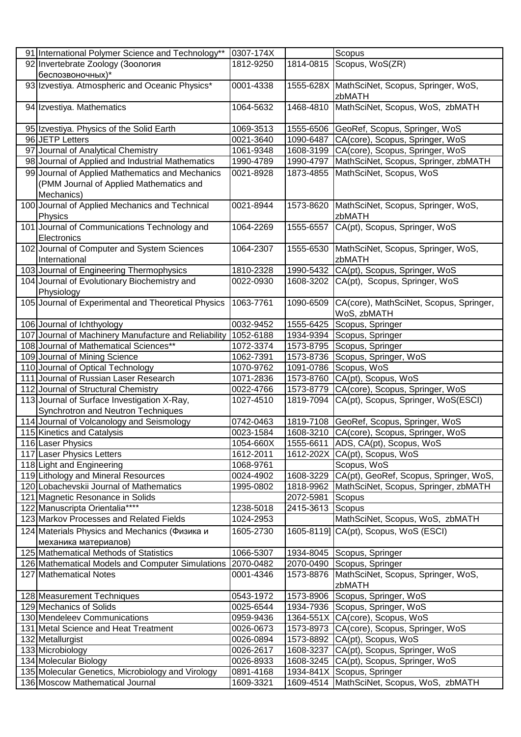| 91 International Polymer Science and Technology**    | 0307-174X |           | Scopus                                  |
|------------------------------------------------------|-----------|-----------|-----------------------------------------|
| 92 Invertebrate Zoology (Зоология                    | 1812-9250 | 1814-0815 | Scopus, WoS(ZR)                         |
| беспозвоночных)*                                     |           |           |                                         |
| 93 Izvestiya. Atmospheric and Oceanic Physics*       | 0001-4338 | 1555-628X | MathSciNet, Scopus, Springer, WoS,      |
|                                                      |           |           | zbMATH                                  |
| 94 Izvestiya. Mathematics                            | 1064-5632 | 1468-4810 | MathSciNet, Scopus, WoS, zbMATH         |
|                                                      |           |           |                                         |
| 95 Izvestiya. Physics of the Solid Earth             | 1069-3513 | 1555-6506 | GeoRef, Scopus, Springer, WoS           |
| 96 JETP Letters                                      | 0021-3640 | 1090-6487 | CA(core), Scopus, Springer, WoS         |
| 97 Journal of Analytical Chemistry                   | 1061-9348 | 1608-3199 | CA(core), Scopus, Springer, WoS         |
| 98 Journal of Applied and Industrial Mathematics     | 1990-4789 | 1990-4797 | MathSciNet, Scopus, Springer, zbMATH    |
| 99 Journal of Applied Mathematics and Mechanics      | 0021-8928 | 1873-4855 | MathSciNet, Scopus, WoS                 |
| (PMM Journal of Applied Mathematics and              |           |           |                                         |
| Mechanics)                                           |           |           |                                         |
| 100 Journal of Applied Mechanics and Technical       | 0021-8944 | 1573-8620 | MathSciNet, Scopus, Springer, WoS,      |
| Physics                                              |           |           | zbMATH                                  |
| 101 Journal of Communications Technology and         | 1064-2269 | 1555-6557 | CA(pt), Scopus, Springer, WoS           |
| Electronics                                          |           |           |                                         |
| 102 Journal of Computer and System Sciences          | 1064-2307 | 1555-6530 | MathSciNet, Scopus, Springer, WoS,      |
| International                                        |           |           | zbMATH                                  |
| 103 Journal of Engineering Thermophysics             | 1810-2328 | 1990-5432 | CA(pt), Scopus, Springer, WoS           |
| 104 Journal of Evolutionary Biochemistry and         | 0022-0930 | 1608-3202 | CA(pt), Scopus, Springer, WoS           |
| Physiology                                           |           |           |                                         |
| 105 Journal of Experimental and Theoretical Physics  | 1063-7761 | 1090-6509 | CA(core), MathSciNet, Scopus, Springer, |
|                                                      |           |           | WoS, zbMATH                             |
| 106 Journal of Ichthyology                           | 0032-9452 | 1555-6425 | Scopus, Springer                        |
| 107 Journal of Machinery Manufacture and Reliability | 1052-6188 | 1934-9394 | Scopus, Springer                        |
| 108 Journal of Mathematical Sciences**               | 1072-3374 | 1573-8795 | Scopus, Springer                        |
| 109 Journal of Mining Science                        | 1062-7391 | 1573-8736 | Scopus, Springer, WoS                   |
| 110 Journal of Optical Technology                    | 1070-9762 | 1091-0786 | Scopus, WoS                             |
| 111 Journal of Russian Laser Research                | 1071-2836 | 1573-8760 | CA(pt), Scopus, WoS                     |
| 112 Journal of Structural Chemistry                  | 0022-4766 | 1573-8779 | CA(core), Scopus, Springer, WoS         |
| 113 Journal of Surface Investigation X-Ray,          | 1027-4510 | 1819-7094 | CA(pt), Scopus, Springer, WoS(ESCI)     |
| Synchrotron and Neutron Techniques                   |           |           |                                         |
| 114 Journal of Volcanology and Seismology            | 0742-0463 | 1819-7108 | GeoRef, Scopus, Springer, WoS           |
| 115 Kinetics and Catalysis                           | 0023-1584 | 1608-3210 | CA(core), Scopus, Springer, WoS         |
| 116 Laser Physics                                    | 1054-660X | 1555-6611 | ADS, CA(pt), Scopus, WoS                |
| 117 Laser Physics Letters                            | 1612-2011 | 1612-202X | CA(pt), Scopus, WoS                     |
| 118 Light and Engineering                            | 1068-9761 |           | Scopus, WoS                             |
| 119 Lithology and Mineral Resources                  | 0024-4902 | 1608-3229 | CA(pt), GeoRef, Scopus, Springer, WoS,  |
| 120 Lobachevskii Journal of Mathematics              | 1995-0802 | 1818-9962 | MathSciNet, Scopus, Springer, zbMATH    |
| 121 Magnetic Resonance in Solids                     |           | 2072-5981 | Scopus                                  |
| 122 Manuscripta Orientalia****                       | 1238-5018 | 2415-3613 | Scopus                                  |
| 123 Markov Processes and Related Fields              | 1024-2953 |           | MathSciNet, Scopus, WoS, zbMATH         |
| 124 Materials Physics and Mechanics (Физика и        | 1605-2730 |           | 1605-8119] CA(pt), Scopus, WoS (ESCI)   |
| механика материалов)                                 |           |           |                                         |
| 125 Mathematical Methods of Statistics               | 1066-5307 | 1934-8045 | Scopus, Springer                        |
| 126 Mathematical Models and Computer Simulations     | 2070-0482 | 2070-0490 | Scopus, Springer                        |
| 127 Mathematical Notes                               | 0001-4346 | 1573-8876 | MathSciNet, Scopus, Springer, WoS,      |
|                                                      |           |           | zbMATH                                  |
| 128 Measurement Techniques                           | 0543-1972 | 1573-8906 | Scopus, Springer, WoS                   |
| 129 Mechanics of Solids                              | 0025-6544 | 1934-7936 | Scopus, Springer, WoS                   |
| 130 Mendeleev Communications                         | 0959-9436 | 1364-551X | CA(core), Scopus, WoS                   |
| 131 Metal Science and Heat Treatment                 | 0026-0673 | 1573-8973 | CA(core), Scopus, Springer, WoS         |
| 132 Metallurgist                                     | 0026-0894 | 1573-8892 | CA(pt), Scopus, WoS                     |
| 133 Microbiology                                     | 0026-2617 | 1608-3237 | CA(pt), Scopus, Springer, WoS           |
| 134 Molecular Biology                                | 0026-8933 | 1608-3245 | CA(pt), Scopus, Springer, WoS           |
| 135 Molecular Genetics, Microbiology and Virology    | 0891-4168 | 1934-841X | Scopus, Springer                        |
| 136 Moscow Mathematical Journal                      | 1609-3321 | 1609-4514 | MathSciNet, Scopus, WoS, zbMATH         |
|                                                      |           |           |                                         |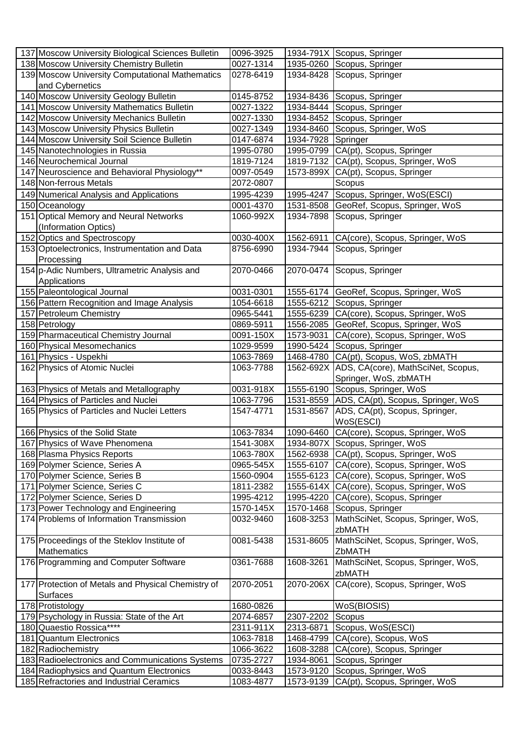| 137 Moscow University Biological Sciences Bulletin | 0096-3925 |           | 1934-791X Scopus, Springer                   |
|----------------------------------------------------|-----------|-----------|----------------------------------------------|
| 138 Moscow University Chemistry Bulletin           | 0027-1314 |           | 1935-0260 Scopus, Springer                   |
| 139 Moscow University Computational Mathematics    | 0278-6419 |           | 1934-8428 Scopus, Springer                   |
| and Cybernetics                                    |           |           |                                              |
| 140 Moscow University Geology Bulletin             | 0145-8752 |           | 1934-8436 Scopus, Springer                   |
| 141 Moscow University Mathematics Bulletin         | 0027-1322 | 1934-8444 | Scopus, Springer                             |
| 142 Moscow University Mechanics Bulletin           | 0027-1330 |           | 1934-8452 Scopus, Springer                   |
| 143 Moscow University Physics Bulletin             | 0027-1349 | 1934-8460 | Scopus, Springer, WoS                        |
| 144 Moscow University Soil Science Bulletin        | 0147-6874 | 1934-7928 | Springer                                     |
| 145 Nanotechnologies in Russia                     |           |           |                                              |
|                                                    | 1995-0780 |           | 1995-0799 CA(pt), Scopus, Springer           |
| 146 Neurochemical Journal                          | 1819-7124 | 1819-7132 | CA(pt), Scopus, Springer, WoS                |
| 147 Neuroscience and Behavioral Physiology**       | 0097-0549 | 1573-899X | CA(pt), Scopus, Springer                     |
| 148 Non-ferrous Metals                             | 2072-0807 |           | Scopus                                       |
| 149 Numerical Analysis and Applications            | 1995-4239 | 1995-4247 | Scopus, Springer, WoS(ESCI)                  |
| 150 Oceanology                                     | 0001-4370 | 1531-8508 | GeoRef, Scopus, Springer, WoS                |
| 151 Optical Memory and Neural Networks             | 1060-992X | 1934-7898 | Scopus, Springer                             |
| (Information Optics)                               |           |           |                                              |
| 152 Optics and Spectroscopy                        | 0030-400X | 1562-6911 | CA(core), Scopus, Springer, WoS              |
| 153 Optoelectronics, Instrumentation and Data      | 8756-6990 | 1934-7944 | Scopus, Springer                             |
| Processing                                         |           |           |                                              |
| 154 p-Adic Numbers, Ultrametric Analysis and       | 2070-0466 |           | 2070-0474 Scopus, Springer                   |
| Applications                                       |           |           |                                              |
| 155 Paleontological Journal                        | 0031-0301 |           | 1555-6174 GeoRef, Scopus, Springer, WoS      |
| 156 Pattern Recognition and Image Analysis         | 1054-6618 | 1555-6212 | Scopus, Springer                             |
| 157 Petroleum Chemistry                            | 0965-5441 | 1555-6239 | CA(core), Scopus, Springer, WoS              |
| 158 Petrology                                      | 0869-5911 | 1556-2085 | GeoRef, Scopus, Springer, WoS                |
| 159 Pharmaceutical Chemistry Journal               | 0091-150X | 1573-9031 | CA(core), Scopus, Springer, WoS              |
| 160 Physical Mesomechanics                         | 1029-9599 | 1990-5424 | Scopus, Springer                             |
|                                                    |           |           |                                              |
| 161 Physics - Uspekhi                              | 1063-7869 | 1468-4780 | CA(pt), Scopus, WoS, zbMATH                  |
| 162 Physics of Atomic Nuclei                       | 1063-7788 |           | 1562-692X ADS, CA(core), MathSciNet, Scopus, |
|                                                    |           |           | Springer, WoS, zbMATH                        |
| 163 Physics of Metals and Metallography            | 0031-918X | 1555-6190 | Scopus, Springer, WoS                        |
| 164 Physics of Particles and Nuclei                | 1063-7796 | 1531-8559 | ADS, CA(pt), Scopus, Springer, WoS           |
| 165 Physics of Particles and Nuclei Letters        | 1547-4771 | 1531-8567 | ADS, CA(pt), Scopus, Springer,               |
|                                                    |           |           | WoS(ESCI)                                    |
| 166 Physics of the Solid State                     | 1063-7834 | 1090-6460 | CA(core), Scopus, Springer, WoS              |
| 167 Physics of Wave Phenomena                      | 1541-308X |           | 1934-807X Scopus, Springer, WoS              |
| 168 Plasma Physics Reports                         | 1063-780X |           | 1562-6938 CA(pt), Scopus, Springer, WoS      |
| 169 Polymer Science, Series A                      | 0965-545X |           | 1555-6107 CA(core), Scopus, Springer, WoS    |
| 170 Polymer Science, Series B                      | 1560-0904 |           | 1555-6123 CA(core), Scopus, Springer, WoS    |
| 171 Polymer Science, Series C                      | 1811-2382 |           | 1555-614X CA(core), Scopus, Springer, WoS    |
| 172 Polymer Science, Series D                      | 1995-4212 | 1995-4220 | CA(core), Scopus, Springer                   |
| 173 Power Technology and Engineering               | 1570-145X |           | 1570-1468 Scopus, Springer                   |
| 174 Problems of Information Transmission           | 0032-9460 | 1608-3253 | MathSciNet, Scopus, Springer, WoS,           |
|                                                    |           |           | zbMATH                                       |
| 175 Proceedings of the Steklov Institute of        | 0081-5438 | 1531-8605 | MathSciNet, Scopus, Springer, WoS,           |
| Mathematics                                        |           |           | ZbMATH                                       |
| 176 Programming and Computer Software              | 0361-7688 | 1608-3261 | MathSciNet, Scopus, Springer, WoS,           |
|                                                    |           |           | zbMATH                                       |
| 177 Protection of Metals and Physical Chemistry of | 2070-2051 | 2070-206X | CA(core), Scopus, Springer, WoS              |
| Surfaces                                           |           |           |                                              |
| 178 Protistology                                   | 1680-0826 |           | WoS(BIOSIS)                                  |
|                                                    |           |           |                                              |
| 179 Psychology in Russia: State of the Art         | 2074-6857 | 2307-2202 | Scopus                                       |
| 180 Quaestio Rossica****                           | 2311-911X | 2313-6871 | Scopus, WoS(ESCI)                            |
| 181 Quantum Electronics                            | 1063-7818 | 1468-4799 | CA(core), Scopus, WoS                        |
| 182 Radiochemistry                                 | 1066-3622 | 1608-3288 | CA(core), Scopus, Springer                   |
| 183 Radioelectronics and Communications Systems    | 0735-2727 | 1934-8061 | Scopus, Springer                             |
| 184 Radiophysics and Quantum Electronics           | 0033-8443 | 1573-9120 | Scopus, Springer, WoS                        |
| 185 Refractories and Industrial Ceramics           | 1083-4877 | 1573-9139 | CA(pt), Scopus, Springer, WoS                |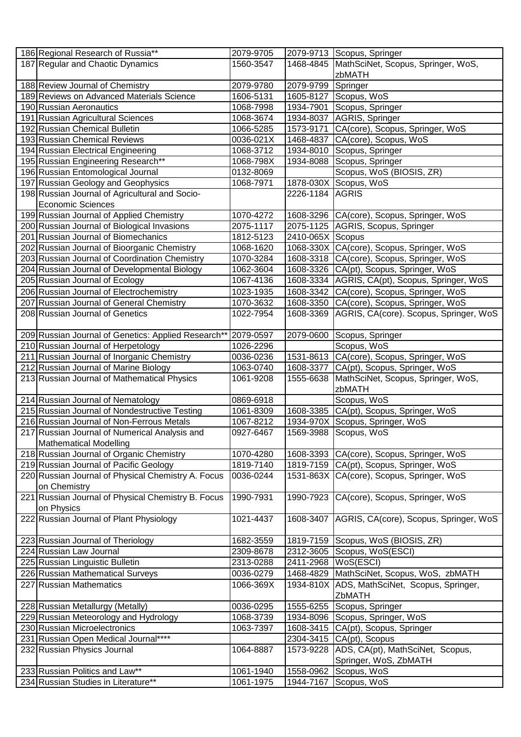| 186 Regional Research of Russia**                  | 2079-9705 |                  | 2079-9713 Scopus, Springer                     |
|----------------------------------------------------|-----------|------------------|------------------------------------------------|
| 187 Regular and Chaotic Dynamics                   | 1560-3547 | 1468-4845        | MathSciNet, Scopus, Springer, WoS,             |
|                                                    |           |                  | zbMATH                                         |
| 188 Review Journal of Chemistry                    | 2079-9780 | 2079-9799        | Springer                                       |
| 189 Reviews on Advanced Materials Science          | 1606-5131 | 1605-8127        | Scopus, WoS                                    |
| 190 Russian Aeronautics                            | 1068-7998 | 1934-7901        | Scopus, Springer                               |
| 191 Russian Agricultural Sciences                  | 1068-3674 | 1934-8037        | AGRIS, Springer                                |
| 192 Russian Chemical Bulletin                      | 1066-5285 | 1573-9171        | CA(core), Scopus, Springer, WoS                |
| 193 Russian Chemical Reviews                       | 0036-021X | 1468-4837        | CA(core), Scopus, WoS                          |
| 194 Russian Electrical Engineering                 | 1068-3712 | 1934-8010        | Scopus, Springer                               |
| 195 Russian Engineering Research**                 | 1068-798X | 1934-8088        | Scopus, Springer                               |
| 196 Russian Entomological Journal                  | 0132-8069 |                  | Scopus, WoS (BIOSIS, ZR)                       |
| 197 Russian Geology and Geophysics                 | 1068-7971 | 1878-030X        | Scopus, WoS                                    |
| 198 Russian Journal of Agricultural and Socio-     |           | 2226-1184        | <b>AGRIS</b>                                   |
| <b>Economic Sciences</b>                           |           |                  |                                                |
|                                                    |           |                  |                                                |
| 199 Russian Journal of Applied Chemistry           | 1070-4272 | 1608-3296        | CA(core), Scopus, Springer, WoS                |
| 200 Russian Journal of Biological Invasions        | 2075-1117 |                  | 2075-1125 AGRIS, Scopus, Springer              |
| 201 Russian Journal of Biomechanics                | 1812-5123 | 2410-065X Scopus |                                                |
| 202 Russian Journal of Bioorganic Chemistry        | 1068-1620 |                  | 1068-330X CA(core), Scopus, Springer, WoS      |
| 203 Russian Journal of Coordination Chemistry      | 1070-3284 |                  | 1608-3318 CA(core), Scopus, Springer, WoS      |
| 204 Russian Journal of Developmental Biology       | 1062-3604 |                  | 1608-3326 CA(pt), Scopus, Springer, WoS        |
| 205 Russian Journal of Ecology                     | 1067-4136 |                  | 1608-3334 AGRIS, CA(pt), Scopus, Springer, WoS |
| 206 Russian Journal of Electrochemistry            | 1023-1935 | 1608-3342        | CA(core), Scopus, Springer, WoS                |
| 207 Russian Journal of General Chemistry           | 1070-3632 | 1608-3350        | CA(core), Scopus, Springer, WoS                |
| 208 Russian Journal of Genetics                    | 1022-7954 | 1608-3369        | AGRIS, CA(core). Scopus, Springer, WoS         |
|                                                    |           |                  |                                                |
| 209 Russian Journal of Genetics: Applied Research* | 2079-0597 | 2079-0600        | Scopus, Springer                               |
| 210 Russian Journal of Herpetology                 | 1026-2296 |                  | Scopus, WoS                                    |
| 211 Russian Journal of Inorganic Chemistry         | 0036-0236 | 1531-8613        | CA(core), Scopus, Springer, WoS                |
| 212 Russian Journal of Marine Biology              | 1063-0740 | 1608-3377        | CA(pt), Scopus, Springer, WoS                  |
| 213 Russian Journal of Mathematical Physics        | 1061-9208 | 1555-6638        | MathSciNet, Scopus, Springer, WoS,             |
|                                                    |           |                  | zbMATH                                         |
| 214 Russian Journal of Nematology                  | 0869-6918 |                  | Scopus, WoS                                    |
| 215 Russian Journal of Nondestructive Testing      | 1061-8309 | 1608-3385        | CA(pt), Scopus, Springer, WoS                  |
| 216 Russian Journal of Non-Ferrous Metals          | 1067-8212 | 1934-970X        | Scopus, Springer, WoS                          |
| 217 Russian Journal of Numerical Analysis and      | 0927-6467 | 1569-3988        | Scopus, WoS                                    |
| <b>Mathematical Modelling</b>                      |           |                  |                                                |
| 218 Russian Journal of Organic Chemistry           | 1070-4280 | 1608-3393        | CA(core), Scopus, Springer, WoS                |
| 219 Russian Journal of Pacific Geology             | 1819-7140 | 1819-7159        | CA(pt), Scopus, Springer, WoS                  |
| 220 Russian Journal of Physical Chemistry A. Focus | 0036-0244 |                  | 1531-863X CA(core), Scopus, Springer, WoS      |
| on Chemistry                                       |           |                  |                                                |
| 221 Russian Journal of Physical Chemistry B. Focus | 1990-7931 | 1990-7923        | CA(core), Scopus, Springer, WoS                |
| on Physics                                         |           |                  |                                                |
| 222 Russian Journal of Plant Physiology            | 1021-4437 | 1608-3407        | AGRIS, CA(core), Scopus, Springer, WoS         |
|                                                    |           |                  |                                                |
|                                                    |           |                  |                                                |
| 223 Russian Journal of Theriology                  | 1682-3559 | 1819-7159        | Scopus, WoS (BIOSIS, ZR)                       |
| 224 Russian Law Journal                            | 2309-8678 | 2312-3605        | Scopus, WoS(ESCI)                              |
| 225 Russian Linguistic Bulletin                    | 2313-0288 | 2411-2968        | WoS(ESCI)                                      |
| 226 Russian Mathematical Surveys                   | 0036-0279 | 1468-4829        | MathSciNet, Scopus, WoS, zbMATH                |
| 227 Russian Mathematics                            | 1066-369X | 1934-810X        | ADS, MathSciNet, Scopus, Springer,             |
|                                                    |           |                  | ZbMATH                                         |
| 228 Russian Metallurgy (Metally)                   | 0036-0295 | 1555-6255        | Scopus, Springer                               |
| 229 Russian Meteorology and Hydrology              | 1068-3739 | 1934-8096        | Scopus, Springer, WoS                          |
| 230 Russian Microelectronics                       | 1063-7397 | 1608-3415        | CA(pt), Scopus, Springer                       |
| 231 Russian Open Medical Journal****               |           | 2304-3415        | CA(pt), Scopus                                 |
| 232 Russian Physics Journal                        | 1064-8887 | 1573-9228        | ADS, CA(pt), MathSciNet, Scopus,               |
|                                                    |           |                  | Springer, WoS, ZbMATH                          |
| 233 Russian Politics and Law**                     | 1061-1940 | 1558-0962        | Scopus, WoS                                    |
| 234 Russian Studies in Literature**                | 1061-1975 | 1944-7167        | Scopus, WoS                                    |
|                                                    |           |                  |                                                |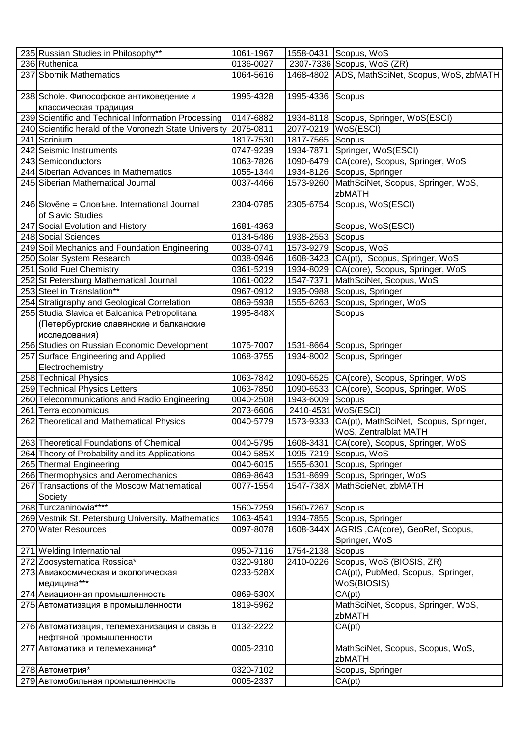| 235 Russian Studies in Philosophy**                                     | 1061-1967 | 1558-0431 | Scopus, WoS                                                    |
|-------------------------------------------------------------------------|-----------|-----------|----------------------------------------------------------------|
| 236 Ruthenica                                                           | 0136-0027 |           | 2307-7336 Scopus, WoS (ZR)                                     |
| 237 Sbornik Mathematics                                                 | 1064-5616 |           | 1468-4802 ADS, MathSciNet, Scopus, WoS, zbMATH                 |
| 238 Schole. Философское антиковедение и<br>классическая традиция        | 1995-4328 | 1995-4336 | Scopus                                                         |
| 239 Scientific and Technical Information Processing                     | 0147-6882 | 1934-8118 | Scopus, Springer, WoS(ESCI)                                    |
| 240 Scientific herald of the Voronezh State University                  | 2075-0811 | 2077-0219 | WoS(ESCI)                                                      |
| 241 Scrinium                                                            | 1817-7530 | 1817-7565 | Scopus                                                         |
| 242 Seismic Instruments                                                 | 0747-9239 | 1934-7871 | Springer, WoS(ESCI)                                            |
| 243 Semiconductors                                                      | 1063-7826 | 1090-6479 | CA(core), Scopus, Springer, WoS                                |
| 244 Siberian Advances in Mathematics                                    | 1055-1344 | 1934-8126 | Scopus, Springer                                               |
| 245 Siberian Mathematical Journal                                       | 0037-4466 | 1573-9260 | MathSciNet, Scopus, Springer, WoS,                             |
|                                                                         |           |           | zbMATH                                                         |
| 246 Slověne = Словене. International Journal                            | 2304-0785 | 2305-6754 | Scopus, WoS(ESCI)                                              |
| of Slavic Studies                                                       |           |           |                                                                |
| 247 Social Evolution and History                                        | 1681-4363 |           | Scopus, WoS(ESCI)                                              |
| 248 Social Sciences                                                     | 0134-5486 | 1938-2553 | Scopus                                                         |
| 249 Soil Mechanics and Foundation Engineering                           | 0038-0741 | 1573-9279 | Scopus, WoS                                                    |
| 250 Solar System Research                                               | 0038-0946 | 1608-3423 | CA(pt), Scopus, Springer, WoS                                  |
| 251 Solid Fuel Chemistry                                                | 0361-5219 | 1934-8029 | CA(core), Scopus, Springer, WoS                                |
| 252 St Petersburg Mathematical Journal                                  | 1061-0022 | 1547-7371 | MathSciNet, Scopus, WoS                                        |
| 253 Steel in Translation**                                              | 0967-0912 | 1935-0988 | Scopus, Springer                                               |
| 254 Stratigraphy and Geological Correlation                             | 0869-5938 | 1555-6263 | Scopus, Springer, WoS                                          |
| 255 Studia Slavica et Balcanica Petropolitana                           | 1995-848X |           | Scopus                                                         |
| (Петербургские славянские и балканские                                  |           |           |                                                                |
| исследования)                                                           |           |           |                                                                |
| 256 Studies on Russian Economic Development                             | 1075-7007 | 1531-8664 | Scopus, Springer                                               |
| 257 Surface Engineering and Applied                                     | 1068-3755 | 1934-8002 | Scopus, Springer                                               |
| Electrochemistry                                                        |           |           |                                                                |
| 258 Technical Physics                                                   | 1063-7842 |           | 1090-6525 CA(core), Scopus, Springer, WoS                      |
| 259 Technical Physics Letters                                           | 1063-7850 | 1090-6533 | CA(core), Scopus, Springer, WoS                                |
| 260 Telecommunications and Radio Engineering                            | 0040-2508 | 1943-6009 | Scopus                                                         |
| 261 Terra economicus                                                    | 2073-6606 | 2410-4531 | $WoS$ (ESCI)                                                   |
| 262 Theoretical and Mathematical Physics                                | 0040-5779 | 1573-9333 | CA(pt), MathSciNet, Scopus, Springer,<br>WoS, Zentralblat MATH |
| 263 Theoretical Foundations of Chemical                                 | 0040-5795 | 1608-3431 | CA(core), Scopus, Springer, WoS                                |
| 264 Theory of Probability and its Applications                          | 0040-585X | 1095-7219 | Scopus, WoS                                                    |
| 265 Thermal Engineering                                                 | 0040-6015 | 1555-6301 | Scopus, Springer                                               |
| 266 Thermophysics and Aeromechanics                                     | 0869-8643 | 1531-8699 | Scopus, Springer, WoS                                          |
| 267 Transactions of the Moscow Mathematical<br>Society                  | 0077-1554 | 1547-738X | MathScieNet, zbMATH                                            |
| 268 Turczaninowia****                                                   | 1560-7259 | 1560-7267 | Scopus                                                         |
| 269 Vestnik St. Petersburg University. Mathematics                      | 1063-4541 | 1934-7855 | Scopus, Springer                                               |
| 270 Water Resources                                                     | 0097-8078 |           | 1608-344X AGRIS, CA(core), GeoRef, Scopus,                     |
|                                                                         |           |           | Springer, WoS                                                  |
| 271 Welding International                                               | 0950-7116 | 1754-2138 | Scopus                                                         |
| 272 Zoosystematica Rossica*                                             | 0320-9180 | 2410-0226 | Scopus, WoS (BIOSIS, ZR)                                       |
| 273 Авиакосмическая и экологическая                                     | 0233-528X |           | CA(pt), PubMed, Scopus, Springer,                              |
| медицина***                                                             |           |           | WoS(BIOSIS)                                                    |
| 274 Авиационная промышленность                                          | 0869-530X |           | CA(pt)                                                         |
| 275 Автоматизация в промышленности                                      | 1819-5962 |           | MathSciNet, Scopus, Springer, WoS,<br>zbMATH                   |
| 276 Автоматизация, телемеханизация и связь в<br>нефтяной промышленности | 0132-2222 |           | CA(pt)                                                         |
| 277 Автоматика и телемеханика*                                          | 0005-2310 |           | MathSciNet, Scopus, Scopus, WoS,<br>zbMATH                     |
| 278 Автометрия*                                                         | 0320-7102 |           | Scopus, Springer                                               |
| 279 Автомобильная промышленность                                        | 0005-2337 |           | CA(pt)                                                         |
|                                                                         |           |           |                                                                |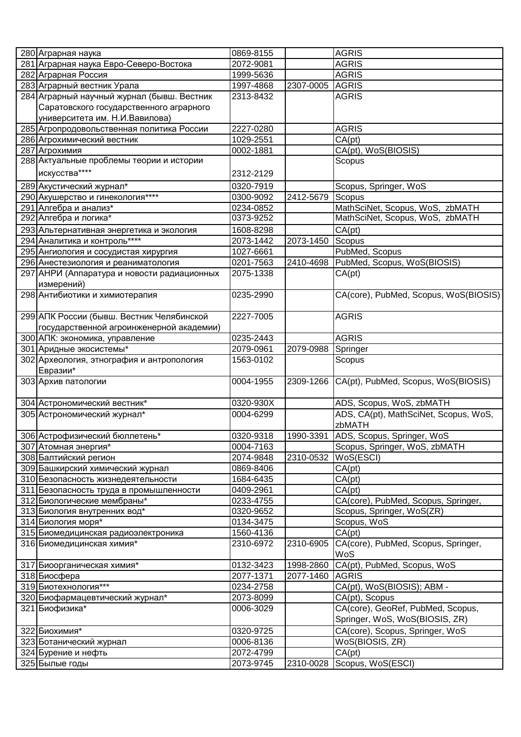| 280 Аграрная наука                                                       | 0869-8155              |           | <b>AGRIS</b>                                                      |
|--------------------------------------------------------------------------|------------------------|-----------|-------------------------------------------------------------------|
| 281 Аграрная наука Евро-Северо-Востока                                   | 2072-9081              |           | <b>AGRIS</b>                                                      |
| 282 Аграрная Россия                                                      | 1999-5636              |           | <b>AGRIS</b>                                                      |
| 283 Аграрный вестник Урала                                               | 1997-4868              | 2307-0005 | <b>AGRIS</b>                                                      |
| 284 Аграрный научный журнал (бывш. Вестник                               | 2313-8432              |           | <b>AGRIS</b>                                                      |
| Саратовского государственного аграрного                                  |                        |           |                                                                   |
| университета им. Н.И.Вавилова)                                           |                        |           |                                                                   |
| 285 Агропродовольственная политика России                                | 2227-0280              |           | <b>AGRIS</b>                                                      |
| 286 Агрохимический вестник                                               | 1029-2551              |           | CA(pt)                                                            |
| 287 Агрохимия                                                            | 0002-1881              |           | CA(pt), WoS(BIOSIS)                                               |
| 288 Актуальные проблемы теории и истории                                 |                        |           | Scopus                                                            |
| искусства****                                                            | 2312-2129              |           |                                                                   |
| 289 Акустический журнал*                                                 | 0320-7919              |           |                                                                   |
| 290 Акушерство и гинекология****                                         | 0300-9092              | 2412-5679 | Scopus, Springer, WoS<br>Scopus                                   |
| 291 Алгебра и анализ*                                                    | 0234-0852              |           | MathSciNet, Scopus, WoS, zbMATH                                   |
| 292 Алгебра и логика*                                                    | 0373-9252              |           | MathSciNet, Scopus, WoS, zbMATH                                   |
|                                                                          | 1608-8298              |           |                                                                   |
| 293 Альтернативная энергетика и экология<br>294 Аналитика и контроль**** |                        |           | CA(pt)                                                            |
|                                                                          | 2073-1442              | 2073-1450 | Scopus                                                            |
| 295 Ангиология и сосудистая хирургия                                     | 1027-6661              |           | PubMed, Scopus                                                    |
| 296 Анестезиология и реаниматология                                      | 0201-7563              | 2410-4698 | PubMed, Scopus, WoS(BIOSIS)                                       |
| 297 АНРИ (Аппаратура и новости радиационных                              | 2075-1338              |           | CA(pt)                                                            |
| измерений)                                                               |                        |           |                                                                   |
| 298 Антибиотики и химиотерапия                                           | 0235-2990              |           | CA(core), PubMed, Scopus, WoS(BIOSIS)                             |
|                                                                          |                        |           |                                                                   |
| 299 АПК России (бывш. Вестник Челябинской                                | 2227-7005              |           | <b>AGRIS</b>                                                      |
| государственной агроинженерной академии)                                 |                        |           |                                                                   |
| 300 АПК: экономика, управление                                           | 0235-2443              |           | <b>AGRIS</b>                                                      |
| 301 Аридные экосистемы*                                                  | 2079-0961              | 2079-0988 | Springer                                                          |
| 302 Археология, этнография и антропология                                | 1563-0102              |           | Scopus                                                            |
| Евразии*                                                                 |                        |           |                                                                   |
| 303 Архив патологии                                                      | 0004-1955              | 2309-1266 | CA(pt), PubMed, Scopus, WoS(BIOSIS)                               |
|                                                                          | 0320-930X              |           |                                                                   |
| 304 Астрономический вестник*                                             | 0004-6299              |           | ADS, Scopus, WoS, zbMATH<br>ADS, CA(pt), MathSciNet, Scopus, WoS, |
| 305 Астрономический журнал*                                              |                        |           |                                                                   |
|                                                                          |                        | 1990-3391 | zbMATH                                                            |
| 306 Астрофизический бюллетень*<br>307 Атомная энергия*                   | 0320-9318              |           | ADS, Scopus, Springer, WoS<br>Scopus, Springer, WoS, zbMATH       |
|                                                                          | 0004-7163<br>2074-9848 |           |                                                                   |
| 308 Балтийский регион                                                    |                        | 2310-0532 | WoS(ESCI)                                                         |
| 309 Башкирский химический журнал                                         | 0869-8406              |           | CA(pt)                                                            |
| 310 Безопасность жизнедеятельности                                       | 1684-6435<br>0409-2961 |           | CA(pt)                                                            |
| 311 Безопасность труда в промышленности                                  | 0233-4755              |           | CA(pt)<br>CA(core), PubMed, Scopus, Springer,                     |
| 312 Биологические мембраны*<br>313 Биология внутренних вод*              | 0320-9652              |           | Scopus, Springer, WoS(ZR)                                         |
| 314 Биология моря*                                                       | 0134-3475              |           | Scopus, WoS                                                       |
| 315 Биомедицинская радиоэлектроника                                      | 1560-4136              |           | CA(pt)                                                            |
| 316 Биомедицинская химия*                                                | 2310-6972              | 2310-6905 | CA(core), PubMed, Scopus, Springer,                               |
|                                                                          |                        |           | WoS                                                               |
| 317 Биоорганическая химия*                                               | 0132-3423              | 1998-2860 | CA(pt), PubMed, Scopus, WoS                                       |
|                                                                          | 2077-1371              | 2077-1460 | AGRIS                                                             |
| 318 Биосфера<br>319 Биотехнология***                                     | 0234-2758              |           | CA(pt), WoS(BIOSIS); ABM -                                        |
| 320 Биофармацевтический журнал*                                          | 2073-8099              |           |                                                                   |
| 321 Биофизика*                                                           | 0006-3029              |           | CA(pt), Scopus<br>CA(core), GeoRef, PubMed, Scopus,               |
|                                                                          |                        |           |                                                                   |
|                                                                          |                        |           | Springer, WoS, WoS(BIOSIS, ZR)                                    |
| 322 Биохимия*                                                            | 0320-9725              |           | CA(core), Scopus, Springer, WoS                                   |
| 323 Ботанический журнал                                                  | 0006-8136              |           | WoS(BIOSIS, ZR)                                                   |
| 324 Бурение и нефть                                                      | 2072-4799              |           | CA(pt)                                                            |
| 325 Былые годы                                                           | 2073-9745              | 2310-0028 | Scopus, WoS(ESCI)                                                 |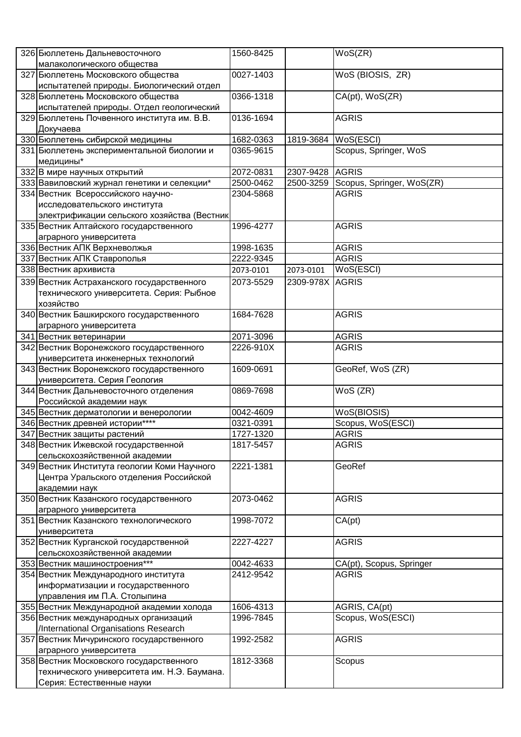| 326 Бюллетень Дальневосточного                                    | 1560-8425 |                 | $\overline{\mathsf{WoS}}$ (ZR) |
|-------------------------------------------------------------------|-----------|-----------------|--------------------------------|
| малакологического общества                                        |           |                 |                                |
| 327 Бюллетень Московского общества                                | 0027-1403 |                 | WoS (BIOSIS, ZR)               |
| испытателей природы. Биологический отдел                          |           |                 |                                |
| 328 Бюллетень Московского общества                                | 0366-1318 |                 | CA(pt), WoS(ZR)                |
| испытателей природы. Отдел геологический                          |           |                 |                                |
| 329 Бюллетень Почвенного института им. В.В.                       | 0136-1694 |                 | <b>AGRIS</b>                   |
| Докучаева                                                         |           |                 |                                |
| 330 Бюллетень сибирской медицины                                  | 1682-0363 | 1819-3684       | WoS(ESCI)                      |
| 331 Бюллетень экспериментальной биологии и<br>медицины*           | 0365-9615 |                 | Scopus, Springer, WoS          |
| 332 В мире научных открытий                                       | 2072-0831 | 2307-9428 AGRIS |                                |
| 333 Вавиловский журнал генетики и селекции*                       | 2500-0462 | 2500-3259       | Scopus, Springer, WoS(ZR)      |
| 334 Вестник Всероссийского научно-                                | 2304-5868 |                 | <b>AGRIS</b>                   |
| исследовательского института                                      |           |                 |                                |
| электрификации сельского хозяйства (Вестник                       |           |                 |                                |
| 335 Вестник Алтайского государственного                           | 1996-4277 |                 | <b>AGRIS</b>                   |
| аграрного университета                                            |           |                 |                                |
| 336 Вестник АПК Верхневолжья                                      | 1998-1635 |                 | <b>AGRIS</b>                   |
| 337 Вестник АПК Ставрополья                                       | 2222-9345 |                 | <b>AGRIS</b>                   |
| 338 Вестник архивиста                                             | 2073-0101 | 2073-0101       | WoS(ESCI)                      |
| 339 Вестник Астраханского государственного                        | 2073-5529 | 2309-978X       | <b>AGRIS</b>                   |
| технического университета. Серия: Рыбное                          |           |                 |                                |
| хозяйство                                                         |           |                 |                                |
| 340 Вестник Башкирского государственного                          | 1684-7628 |                 | <b>AGRIS</b>                   |
| аграрного университета                                            |           |                 |                                |
| 341 Вестник ветеринарии                                           | 2071-3096 |                 | <b>AGRIS</b>                   |
| 342 Вестник Воронежского государственного                         | 2226-910X |                 | <b>AGRIS</b>                   |
| университета инженерных технологий                                |           |                 |                                |
| 343 Вестник Воронежского государственного                         | 1609-0691 |                 | GeoRef, WoS (ZR)               |
| университета. Серия Геология                                      |           |                 |                                |
| 344 Вестник Дальневосточного отделения                            | 0869-7698 |                 | WoS (ZR)                       |
| Российской академии наук                                          |           |                 |                                |
| 345 Вестник дерматологии и венерологии                            | 0042-4609 |                 | WoS(BIOSIS)                    |
| 346 Вестник древней истории****                                   | 0321-0391 |                 | Scopus, WoS(ESCI)              |
| 347 Вестник защиты растений                                       | 1727-1320 |                 | <b>AGRIS</b>                   |
| 348 Вестник Ижевской государственной                              | 1817-5457 |                 | <b>AGRIS</b>                   |
| сельскохозяйственной академии                                     |           |                 |                                |
| 349 Вестник Института геологии Коми Научного                      | 2221-1381 |                 | GeoRef                         |
| Центра Уральского отделения Российской                            |           |                 |                                |
| академии наук                                                     |           |                 |                                |
| 350 Вестник Казанского государственного<br>аграрного университета | 2073-0462 |                 | <b>AGRIS</b>                   |
| 351 Вестник Казанского технологического                           | 1998-7072 |                 | CA(pt)                         |
| университета                                                      |           |                 |                                |
| 352 Вестник Курганской государственной                            | 2227-4227 |                 | <b>AGRIS</b>                   |
| сельскохозяйственной академии                                     |           |                 |                                |
| 353 Вестник машиностроения***                                     | 0042-4633 |                 | CA(pt), Scopus, Springer       |
| 354 Вестник Международного института                              | 2412-9542 |                 | <b>AGRIS</b>                   |
| информатизации и государственного                                 |           |                 |                                |
| управления им П.А. Столыпина                                      |           |                 |                                |
| 355 Вестник Международной академии холода                         | 1606-4313 |                 | AGRIS, CA(pt)                  |
| 356 Вестник международных организаций                             | 1996-7845 |                 | Scopus, WoS(ESCI)              |
| /International Organisations Research                             |           |                 |                                |
| 357 Вестник Мичуринского государственного                         | 1992-2582 |                 | <b>AGRIS</b>                   |
| аграрного университета                                            |           |                 |                                |
| 358 Вестник Московского государственного                          | 1812-3368 |                 | Scopus                         |
| технического университета им. Н.Э. Баумана.                       |           |                 |                                |
| Серия: Естественные науки                                         |           |                 |                                |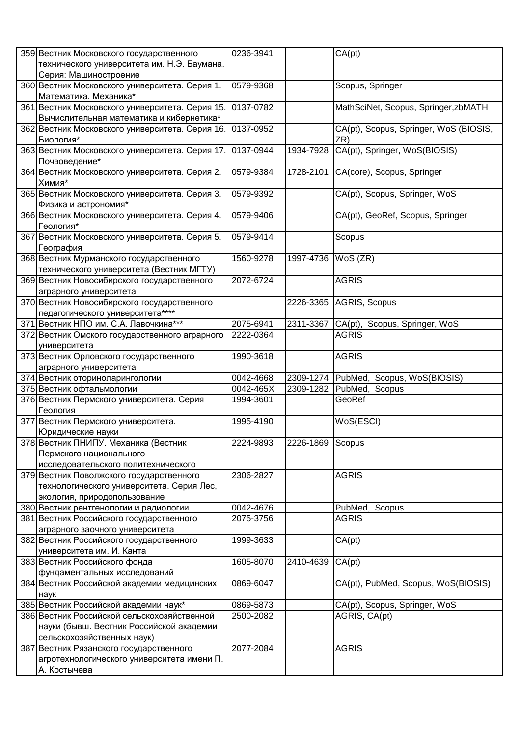| 359 Вестник Московского государственного        | 0236-3941 |           | CA(pt)                                 |
|-------------------------------------------------|-----------|-----------|----------------------------------------|
| технического университета им. Н.Э. Баумана.     |           |           |                                        |
| Серия: Машиностроение                           |           |           |                                        |
| 360 Вестник Московского университета. Серия 1.  | 0579-9368 |           | Scopus, Springer                       |
| Математика. Механика*                           |           |           |                                        |
|                                                 | 0137-0782 |           |                                        |
| 361 Вестник Московского университета. Серия 15. |           |           | MathSciNet, Scopus, Springer, zbMATH   |
| Вычислительная математика и кибернетика*        |           |           |                                        |
| 362 Вестник Московского университета. Серия 16. | 0137-0952 |           | CA(pt), Scopus, Springer, WoS (BIOSIS, |
| Биология*                                       |           |           | ZR)                                    |
| 363 Вестник Московского университета. Серия 17. | 0137-0944 | 1934-7928 | CA(pt), Springer, WoS(BIOSIS)          |
| Почвоведение*                                   |           |           |                                        |
| 364 Вестник Московского университета. Серия 2.  | 0579-9384 | 1728-2101 | CA(core), Scopus, Springer             |
| Химия*                                          |           |           |                                        |
| 365 Вестник Московского университета. Серия 3.  | 0579-9392 |           | CA(pt), Scopus, Springer, WoS          |
| Физика и астрономия*                            |           |           |                                        |
| 366 Вестник Московского университета. Серия 4.  | 0579-9406 |           | CA(pt), GeoRef, Scopus, Springer       |
| Геология*                                       |           |           |                                        |
| 367 Вестник Московского университета. Серия 5.  | 0579-9414 |           | Scopus                                 |
| География                                       |           |           |                                        |
| 368 Вестник Мурманского государственного        | 1560-9278 | 1997-4736 | WoS (ZR)                               |
| технического университета (Вестник МГТУ)        |           |           |                                        |
| 369 Вестник Новосибирского государственного     | 2072-6724 |           | <b>AGRIS</b>                           |
|                                                 |           |           |                                        |
| аграрного университета                          |           |           |                                        |
| 370 Вестник Новосибирского государственного     |           | 2226-3365 | AGRIS, Scopus                          |
| педагогического университета****                |           |           |                                        |
| 371 Вестник НПО им. С.А. Лавочкина***           | 2075-6941 | 2311-3367 | CA(pt), Scopus, Springer, WoS          |
| 372 Вестник Омского государственного аграрного  | 2222-0364 |           | <b>AGRIS</b>                           |
| университета                                    |           |           |                                        |
| 373 Вестник Орловского государственного         | 1990-3618 |           | <b>AGRIS</b>                           |
| аграрного университета                          |           |           |                                        |
| 374 Вестник оториноларингологии                 | 0042-4668 | 2309-1274 | PubMed, Scopus, WoS(BIOSIS)            |
| 375 Вестник офтальмологии                       | 0042-465X | 2309-1282 | PubMed, Scopus                         |
| 376 Вестник Пермского университета. Серия       | 1994-3601 |           | GeoRef                                 |
| Геология                                        |           |           |                                        |
| 377 Вестник Пермского университета.             | 1995-4190 |           | WoS(ESCI)                              |
| Юридические науки                               |           |           |                                        |
| 378 Вестник ПНИПУ. Механика (Вестник            | 2224-9893 | 2226-1869 | Scopus                                 |
| Пермского национального                         |           |           |                                        |
| исследовательского политехнического             |           |           |                                        |
| 379 Вестник Поволжского государственного        | 2306-2827 |           | <b>AGRIS</b>                           |
| технологического университета. Серия Лес,       |           |           |                                        |
| экология, природопользование                    |           |           |                                        |
| 380 Вестник рентгенологии и радиологии          | 0042-4676 |           | PubMed,<br>Scopus                      |
| 381 Вестник Российского государственного        | 2075-3756 |           | <b>AGRIS</b>                           |
|                                                 |           |           |                                        |
| аграрного заочного университета                 |           |           |                                        |
| 382 Вестник Российского государственного        | 1999-3633 |           | CA(pt)                                 |
| университета им. И. Канта                       |           |           |                                        |
| 383 Вестник Российского фонда                   | 1605-8070 | 2410-4639 | CA(pt)                                 |
| фундаментальных исследований                    |           |           |                                        |
| 384 Вестник Российской академии медицинских     | 0869-6047 |           | CA(pt), PubMed, Scopus, WoS(BIOSIS)    |
| наук                                            |           |           |                                        |
| 385 Вестник Российской академии наук*           | 0869-5873 |           | CA(pt), Scopus, Springer, WoS          |
| 386 Вестник Российской сельскохозяйственной     | 2500-2082 |           | AGRIS, CA(pt)                          |
| науки (бывш. Вестник Российской академии        |           |           |                                        |
| сельскохозяйственных наук)                      |           |           |                                        |
| 387 Вестник Рязанского государственного         | 2077-2084 |           | <b>AGRIS</b>                           |
| агротехнологического университета имени П.      |           |           |                                        |
| А. Костычева                                    |           |           |                                        |
|                                                 |           |           |                                        |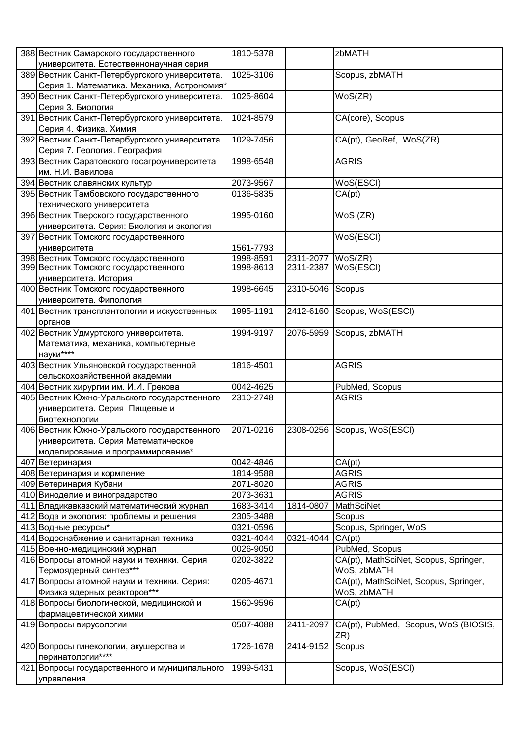| 388 Вестник Самарского государственного        | 1810-5378 |           | zbMATH                                |
|------------------------------------------------|-----------|-----------|---------------------------------------|
| университета. Естественнонаучная серия         |           |           |                                       |
| 389 Вестник Санкт-Петербургского университета. | 1025-3106 |           | Scopus, zbMATH                        |
| Серия 1. Математика. Механика, Астрономия*     |           |           |                                       |
| 390 Вестник Санкт-Петербургского университета. | 1025-8604 |           | WoS(ZR)                               |
| Серия 3. Биология                              |           |           |                                       |
| 391 Вестник Санкт-Петербургского университета. | 1024-8579 |           | CA(core), Scopus                      |
|                                                |           |           |                                       |
| Серия 4. Физика. Химия                         |           |           |                                       |
| 392 Вестник Санкт-Петербургского университета. | 1029-7456 |           | CA(pt), GeoRef, WoS(ZR)               |
| Серия 7. Геология. География                   |           |           |                                       |
| 393 Вестник Саратовского госагроуниверситета   | 1998-6548 |           | <b>AGRIS</b>                          |
| им. Н.И. Вавилова                              |           |           |                                       |
| 394 Вестник славянских культур                 | 2073-9567 |           | WoS(ESCI)                             |
| 395 Вестник Тамбовского государственного       | 0136-5835 |           | CA(pt)                                |
| технического университета                      |           |           |                                       |
| 396 Вестник Тверского государственного         | 1995-0160 |           | WoS (ZR)                              |
| университета. Серия: Биология и экология       |           |           |                                       |
| 397 Вестник Томского государственного          |           |           | WoS(ESCI)                             |
| университета                                   | 1561-7793 |           |                                       |
| 398 Вестник Томского государственного          | 1998-8591 | 2311-2077 | WoS(ZR)                               |
| 399 Вестник Томского государственного          | 1998-8613 | 2311-2387 | WoS(ESCI)                             |
| университета. История                          |           |           |                                       |
| 400 Вестник Томского государственного          | 1998-6645 | 2310-5046 | Scopus                                |
| университета. Филология                        |           |           |                                       |
| 401 Вестник трансплантологии и искусственных   | 1995-1191 | 2412-6160 | Scopus, WoS(ESCI)                     |
| органов                                        |           |           |                                       |
| 402 Вестник Удмуртского университета.          | 1994-9197 | 2076-5959 | Scopus, zbMATH                        |
| Математика, механика, компьютерные             |           |           |                                       |
| науки****                                      |           |           |                                       |
| 403 Вестник Ульяновской государственной        | 1816-4501 |           | <b>AGRIS</b>                          |
|                                                |           |           |                                       |
| сельскохозяйственной академии                  |           |           |                                       |
| 404 Вестник хирургии им. И.И. Грекова          | 0042-4625 |           | PubMed, Scopus                        |
| 405 Вестник Южно-Уральского государственного   | 2310-2748 |           | <b>AGRIS</b>                          |
| университета. Серия Пищевые и                  |           |           |                                       |
| биотехнологии                                  |           |           |                                       |
| 406 Вестник Южно-Уральского государственного   | 2071-0216 |           | 2308-0256 Scopus, WoS(ESCI)           |
| университета. Серия Математическое             |           |           |                                       |
| моделирование и программирование*              |           |           |                                       |
| 407 Ветеринария                                | 0042-4846 |           | CA(pt)                                |
| 408 Ветеринария и кормление                    | 1814-9588 |           | <b>AGRIS</b>                          |
| 409 Ветеринария Кубани                         | 2071-8020 |           | <b>AGRIS</b>                          |
| 410 Виноделие и виноградарство                 | 2073-3631 |           | <b>AGRIS</b>                          |
| 411 Владикавказский математический журнал      | 1683-3414 | 1814-0807 | MathSciNet                            |
| 412 Вода и экология: проблемы и решения        | 2305-3488 |           | Scopus                                |
| 413 Водные ресурсы*                            | 0321-0596 |           | Scopus, Springer, WoS                 |
| 414 Водоснабжение и санитарная техника         | 0321-4044 | 0321-4044 | CA(pt)                                |
| 415 Военно-медицинский журнал                  | 0026-9050 |           | PubMed, Scopus                        |
| 416 Вопросы атомной науки и техники. Серия     | 0202-3822 |           | CA(pt), MathSciNet, Scopus, Springer, |
| Термоядерный синтез***                         |           |           | WoS, zbMATH                           |
| 417 Вопросы атомной науки и техники. Серия:    | 0205-4671 |           | CA(pt), MathSciNet, Scopus, Springer, |
| Физика ядерных реакторов***                    |           |           | WoS, zbMATH                           |
| 418 Вопросы биологической, медицинской и       | 1560-9596 |           | CA(pt)                                |
|                                                |           |           |                                       |
| фармацевтической химии                         |           |           |                                       |
| 419 Вопросы вирусологии                        | 0507-4088 | 2411-2097 | CA(pt), PubMed, Scopus, WoS (BIOSIS,  |
|                                                |           |           | ZR)                                   |
| 420 Вопросы гинекологии, акушерства и          | 1726-1678 | 2414-9152 | Scopus                                |
| перинатологии****                              |           |           |                                       |
| 421 Вопросы государственного и муниципального  | 1999-5431 |           | Scopus, WoS(ESCI)                     |
| управления                                     |           |           |                                       |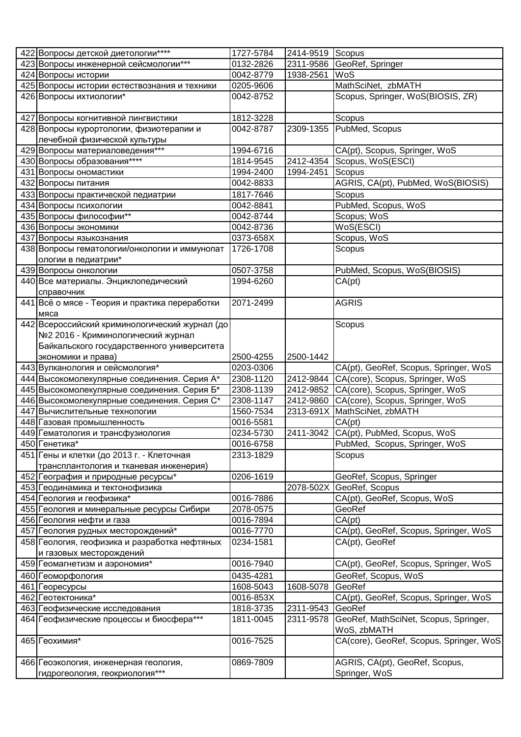| 422 Вопросы детской диетологии****                                     | 1727-5784 | 2414-9519 Scopus |                                         |
|------------------------------------------------------------------------|-----------|------------------|-----------------------------------------|
| 423 Вопросы инженерной сейсмологии***                                  | 0132-2826 | 2311-9586        | GeoRef, Springer                        |
| 424 Вопросы истории                                                    | 0042-8779 | 1938-2561        | WoS                                     |
| 425 Вопросы истории естествознания и техники                           | 0205-9606 |                  | MathSciNet, zbMATH                      |
| 426 Вопросы ихтиологии*                                                | 0042-8752 |                  | Scopus, Springer, WoS(BIOSIS, ZR)       |
|                                                                        |           |                  |                                         |
| 427 Вопросы когнитивной лингвистики                                    | 1812-3228 |                  | Scopus                                  |
| 428 Вопросы курортологии, физиотерапии и                               | 0042-8787 | 2309-1355        | PubMed, Scopus                          |
| лечебной физической культуры                                           |           |                  |                                         |
| 429 Вопросы материаловедения***                                        | 1994-6716 |                  | CA(pt), Scopus, Springer, WoS           |
| 430 Вопросы образования****                                            | 1814-9545 | 2412-4354        | Scopus, WoS(ESCI)                       |
| 431 Вопросы ономастики                                                 | 1994-2400 | 1994-2451        | Scopus                                  |
| 432 Вопросы питания                                                    | 0042-8833 |                  | AGRIS, CA(pt), PubMed, WoS(BIOSIS)      |
| 433 Вопросы практической педиатрии                                     | 1817-7646 |                  | Scopus                                  |
| 434 Вопросы психологии                                                 | 0042-8841 |                  | PubMed, Scopus, WoS                     |
| 435 Вопросы философии**                                                | 0042-8744 |                  | Scopus; WoS                             |
| 436 Вопросы экономики                                                  | 0042-8736 |                  | WoS(ESCI)                               |
| 437 Вопросы языкознания                                                | 0373-658X |                  | Scopus, WoS                             |
| 438 Вопросы гематологии/онкологии и иммунопат                          | 1726-1708 |                  | Scopus                                  |
| ологии в педиатрии*                                                    |           |                  |                                         |
| 439 Вопросы онкологии                                                  | 0507-3758 |                  | PubMed, Scopus, WoS(BIOSIS)             |
| 440 Все материалы. Энциклопедический                                   | 1994-6260 |                  | CA(pt)                                  |
| справочник                                                             |           |                  |                                         |
| 441 Всё о мясе - Теория и практика переработки                         | 2071-2499 |                  | <b>AGRIS</b>                            |
| мяса                                                                   |           |                  |                                         |
| 442 Всероссийский криминологический журнал (до                         |           |                  | Scopus                                  |
| №2 2016 - Криминологический журнал                                     |           |                  |                                         |
| Байкальского государственного университета                             |           |                  |                                         |
| экономики и права)                                                     | 2500-4255 | 2500-1442        |                                         |
| 443 Вулканология и сейсмология*                                        | 0203-0306 |                  | CA(pt), GeoRef, Scopus, Springer, WoS   |
| 444 Высокомолекулярные соединения. Серия А*                            | 2308-1120 | 2412-9844        | CA(core), Scopus, Springer, WoS         |
| 445 Высокомолекулярные соединения. Серия Б*                            | 2308-1139 | 2412-9852        | CA(core), Scopus, Springer, WoS         |
| 446 Высокомолекулярные соединения. Серия С*                            | 2308-1147 | 2412-9860        | CA(core), Scopus, Springer, WoS         |
| 447 Вычислительные технологии                                          | 1560-7534 | 2313-691X        | MathSciNet, zbMATH                      |
| 448 Газовая промышленность                                             | 0016-5581 |                  | CA(pt)                                  |
| 449 Гематология и трансфузиология                                      | 0234-5730 | 2411-3042        | CA(pt), PubMed, Scopus, WoS             |
| 450 Генетика*                                                          | 0016-6758 |                  | PubMed, Scopus, Springer, WoS           |
| 451 Гены и клетки (до 2013 г. - Клеточная                              | 2313-1829 |                  | Scopus                                  |
| трансплантология и тканевая инженерия)                                 |           |                  |                                         |
| 452 География и природные ресурсы*                                     | 0206-1619 |                  | GeoRef, Scopus, Springer                |
| 453 Геодинамика и тектонофизика                                        |           | 2078-502X        | GeoRef, Scopus                          |
| 454 Геология и геофизика*                                              | 0016-7886 |                  | CA(pt), GeoRef, Scopus, WoS             |
|                                                                        | 2078-0575 |                  | GeoRef                                  |
| 455 Геология и минеральные ресурсы Сибири<br>456 Геология нефти и газа | 0016-7894 |                  | CA(pt)                                  |
|                                                                        | 0016-7770 |                  |                                         |
| 457 Геология рудных месторождений*                                     |           |                  | CA(pt), GeoRef, Scopus, Springer, WoS   |
| 458 Геология, геофизика и разработка нефтяных                          | 0234-1581 |                  | CA(pt), GeoRef                          |
| и газовых месторождений                                                |           |                  |                                         |
| 459 Геомагнетизм и аэрономия*                                          | 0016-7940 |                  | CA(pt), GeoRef, Scopus, Springer, WoS   |
| 460 Геоморфология                                                      | 0435-4281 |                  | GeoRef, Scopus, WoS                     |
| 461 Георесурсы                                                         | 1608-5043 | 1608-5078        | GeoRef                                  |
| 462 Геотектоника*                                                      | 0016-853X |                  | CA(pt), GeoRef, Scopus, Springer, WoS   |
| 463 Геофизические исследования                                         | 1818-3735 | 2311-9543        | GeoRef                                  |
| 464 Геофизические процессы и биосфера***                               | 1811-0045 | 2311-9578        | GeoRef, MathSciNet, Scopus, Springer,   |
|                                                                        |           |                  | WoS, zbMATH                             |
| 465 Геохимия*                                                          | 0016-7525 |                  | CA(core), GeoRef, Scopus, Springer, WoS |
|                                                                        |           |                  |                                         |
| 466 Геоэкология, инженерная геология,                                  | 0869-7809 |                  | AGRIS, CA(pt), GeoRef, Scopus,          |
| гидрогеология, геокриология***                                         |           |                  | Springer, WoS                           |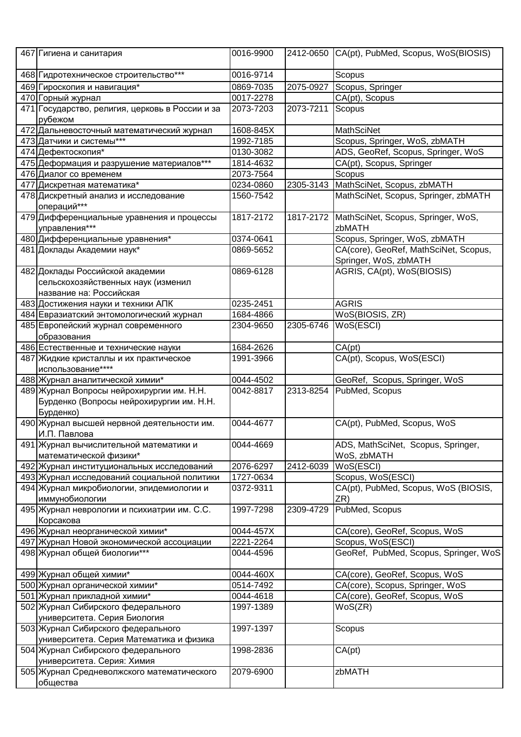| 467 Гигиена и санитария                                                      | 0016-9900              | 2412-0650 | CA(pt), PubMed, Scopus, WoS(BIOSIS)             |
|------------------------------------------------------------------------------|------------------------|-----------|-------------------------------------------------|
| 468 Гидротехническое строительство***                                        | 0016-9714              |           | Scopus                                          |
| 469 Гироскопия и навигация*                                                  | 0869-7035              | 2075-0927 | Scopus, Springer                                |
| 470 Горный журнал                                                            | 0017-2278              |           | CA(pt), Scopus                                  |
| 471 Государство, религия, церковь в России и за                              | 2073-7203              | 2073-7211 | Scopus                                          |
| рубежом                                                                      |                        |           |                                                 |
| 472 Дальневосточный математический журнал                                    | 1608-845X              |           | <b>MathSciNet</b>                               |
| 473 Датчики и системы***                                                     | 1992-7185              |           | Scopus, Springer, WoS, zbMATH                   |
| 474 Дефектоскопия*                                                           | 0130-3082              |           | ADS, GeoRef, Scopus, Springer, WoS              |
| 475 Деформация и разрушение материалов***                                    | 1814-4632              |           | CA(pt), Scopus, Springer                        |
| 476 Диалог со временем                                                       | 2073-7564              |           | Scopus                                          |
| 477 Дискретная математика*                                                   | 0234-0860              | 2305-3143 | MathSciNet, Scopus, zbMATH                      |
| 478 Дискретный анализ и исследование                                         | 1560-7542              |           | MathSciNet, Scopus, Springer, zbMATH            |
| операций***<br>479 Дифференциальные уравнения и процессы                     | 1817-2172              | 1817-2172 | MathSciNet, Scopus, Springer, WoS,              |
| управления***                                                                |                        |           | zbMATH                                          |
| 480 Дифференциальные уравнения*                                              | 0374-0641              |           | Scopus, Springer, WoS, zbMATH                   |
| 481 Доклады Академии наук*                                                   | 0869-5652              |           | CA(core), GeoRef, MathSciNet, Scopus,           |
|                                                                              |                        |           | Springer, WoS, zbMATH                           |
| 482 Доклады Российской академии                                              | 0869-6128              |           | AGRIS, CA(pt), WoS(BIOSIS)                      |
| сельскохозяйственных наук (изменил                                           |                        |           |                                                 |
| название на: Российская                                                      |                        |           |                                                 |
| 483 Достижения науки и техники АПК                                           | 0235-2451              |           | <b>AGRIS</b>                                    |
| 484 Евразиатский энтомологический журнал                                     | 1684-4866              |           | WoS(BIOSIS, ZR)                                 |
| 485 Европейский журнал современного                                          | 2304-9650              | 2305-6746 | WoS(ESCI)                                       |
| образования                                                                  |                        |           |                                                 |
| 486 Естественные и технические науки                                         | 1684-2626              |           | CA(pt)                                          |
| 487 Жидкие кристаллы и их практическое                                       | 1991-3966              |           | CA(pt), Scopus, WoS(ESCI)                       |
| использование****                                                            |                        |           |                                                 |
| 488 Журнал аналитической химии*<br>489 Журнал Вопросы нейрохирургии им. Н.Н. | 0044-4502<br>0042-8817 | 2313-8254 | GeoRef, Scopus, Springer, WoS<br>PubMed, Scopus |
| Бурденко (Вопросы нейрохирургии им. Н.Н.                                     |                        |           |                                                 |
| Бурденко)                                                                    |                        |           |                                                 |
| 490 Журнал высшей нервной деятельности им.                                   | 0044-4677              |           | CA(pt), PubMed, Scopus, WoS                     |
| И.П. Павлова                                                                 |                        |           |                                                 |
| 491 Журнал вычислительной математики и                                       | 0044-4669              |           | ADS, MathSciNet, Scopus, Springer,              |
| математической физики*                                                       |                        |           | WoS, zbMATH                                     |
| 492 Журнал институциональных исследований                                    | 2076-6297              | 2412-6039 | WoS(ESCI)                                       |
| 493 Журнал исследований социальной политики                                  | 1727-0634              |           | Scopus, WoS(ESCI)                               |
| 494 Журнал микробиологии, эпидемиологии и<br>иммунобиологии                  | 0372-9311              |           | CA(pt), PubMed, Scopus, WoS (BIOSIS,<br>ZR)     |
| 495 Журнал неврологии и психиатрии им. С.С.                                  | 1997-7298              | 2309-4729 | PubMed, Scopus                                  |
| Корсакова                                                                    |                        |           |                                                 |
| 496 Журнал неорганической химии*                                             | 0044-457X              |           | CA(core), GeoRef, Scopus, WoS                   |
| 497 Журнал Новой экономической ассоциации                                    | 2221-2264              |           | Scopus, WoS(ESCI)                               |
| 498 Журнал общей биологии***                                                 | 0044-4596              |           | GeoRef, PubMed, Scopus, Springer, WoS           |
| 499 Журнал общей химии*                                                      | 0044-460X              |           | CA(core), GeoRef, Scopus, WoS                   |
| 500 Журнал органической химии*                                               | 0514-7492              |           | CA(core), Scopus, Springer, WoS                 |
| 501 Журнал прикладной химии*                                                 | 0044-4618              |           | CA(core), GeoRef, Scopus, WoS                   |
| 502 Журнал Сибирского федерального                                           | 1997-1389              |           | WoS(ZR)                                         |
| университета. Серия Биология                                                 |                        |           |                                                 |
| 503 Журнал Сибирского федерального                                           | 1997-1397              |           | Scopus                                          |
| университета. Серия Математика и физика                                      |                        |           |                                                 |
| 504 Журнал Сибирского федерального                                           | 1998-2836              |           | CA(pt)                                          |
| университета. Серия: Химия<br>505 Журнал Средневолжского математического     | 2079-6900              |           | zbMATH                                          |
| общества                                                                     |                        |           |                                                 |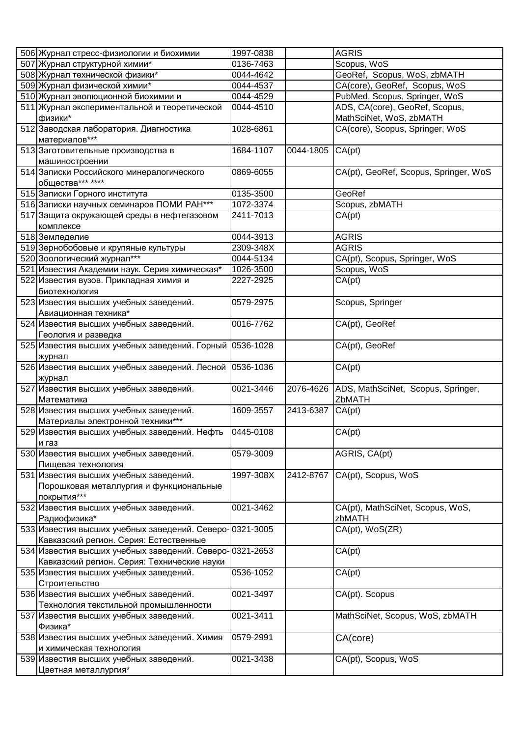| 506 Журнал стресс-физиологии и биохимии                 | 1997-0838 |           | <b>AGRIS</b>                          |
|---------------------------------------------------------|-----------|-----------|---------------------------------------|
| 507 Журнал структурной химии*                           | 0136-7463 |           | Scopus, WoS                           |
| 508 Журнал технической физики*                          | 0044-4642 |           | GeoRef, Scopus, WoS, zbMATH           |
| 509 Журнал физической химии*                            | 0044-4537 |           | CA(core), GeoRef, Scopus, WoS         |
| 510 Журнал эволюционной биохимии и                      | 0044-4529 |           | PubMed, Scopus, Springer, WoS         |
| 511 Журнал экспериментальной и теоретической            | 0044-4510 |           | ADS, CA(core), GeoRef, Scopus,        |
| физики*                                                 |           |           | MathSciNet, WoS, zbMATH               |
| 512 Заводская лаборатория. Диагностика                  | 1028-6861 |           | CA(core), Scopus, Springer, WoS       |
| материалов***                                           |           |           |                                       |
| 513 Заготовительные производства в                      | 1684-1107 | 0044-1805 | CA(pt)                                |
|                                                         |           |           |                                       |
| машиностроении                                          |           |           |                                       |
| 514 Записки Российского минералогического               | 0869-6055 |           | CA(pt), GeoRef, Scopus, Springer, WoS |
| общества*** ****                                        |           |           |                                       |
| 515 Записки Горного института                           | 0135-3500 |           | GeoRef                                |
| 516 Записки научных семинаров ПОМИ РАН***               | 1072-3374 |           | Scopus, zbMATH                        |
| 517 Защита окружающей среды в нефтегазовом              | 2411-7013 |           | CA(pt)                                |
| комплексе                                               |           |           |                                       |
| 518 Земледелие                                          | 0044-3913 |           | <b>AGRIS</b>                          |
| 519 Зернобобовые и крупяные культуры                    | 2309-348X |           | <b>AGRIS</b>                          |
| 520 Зоологический журнал***                             | 0044-5134 |           | CA(pt), Scopus, Springer, WoS         |
| 521 Известия Академии наук. Серия химическая*           | 1026-3500 |           | Scopus, WoS                           |
| 522 Известия вузов. Прикладная химия и                  | 2227-2925 |           | CA(pt)                                |
| биотехнология                                           |           |           |                                       |
| 523 Известия высших учебных заведений.                  | 0579-2975 |           | Scopus, Springer                      |
| Авиационная техника*                                    |           |           |                                       |
| 524 Известия высших учебных заведений.                  | 0016-7762 |           | CA(pt), GeoRef                        |
| Геология и разведка                                     |           |           |                                       |
| 525 Известия высших учебных заведений. Горный 0536-1028 |           |           | CA(pt), GeoRef                        |
|                                                         |           |           |                                       |
| журнал                                                  |           |           |                                       |
| 526 Известия высших учебных заведений. Лесной 0536-1036 |           |           | CA(pt)                                |
| журнал                                                  |           |           |                                       |
| 527 Известия высших учебных заведений.                  | 0021-3446 | 2076-4626 | ADS, MathSciNet, Scopus, Springer,    |
| Математика                                              |           |           | ZbMATH                                |
| 528 Известия высших учебных заведений.                  | 1609-3557 | 2413-6387 | CA(pt)                                |
| Материалы электронной техники***                        |           |           |                                       |
| 529 Известия высших учебных заведений. Нефть            | 0445-0108 |           | CA(pt)                                |
| и газ                                                   |           |           |                                       |
| 530 Известия высших учебных заведений.                  | 0579-3009 |           | AGRIS, CA(pt)                         |
| Пищевая технология                                      |           |           |                                       |
| 531 Известия высших учебных заведений.                  | 1997-308X | 2412-8767 | CA(pt), Scopus, WoS                   |
| Порошковая металлургия и функциональные                 |           |           |                                       |
| покрытия***                                             |           |           |                                       |
| 532 Известия высших учебных заведений.                  | 0021-3462 |           | CA(pt), MathSciNet, Scopus, WoS,      |
| Радиофизика*                                            |           |           | zbMATH                                |
| 533 Известия высших учебных заведений. Северо-0321-3005 |           |           | CA(pt), WoS(ZR)                       |
| Кавказский регион. Серия: Естественные                  |           |           |                                       |
| 534 Известия высших учебных заведений. Северо-0321-2653 |           |           | CA(pt)                                |
| Кавказский регион. Серия: Технические науки             |           |           |                                       |
| 535 Известия высших учебных заведений.                  | 0536-1052 |           | CA(pt)                                |
| Строительство                                           |           |           |                                       |
|                                                         |           |           |                                       |
| 536 Известия высших учебных заведений.                  | 0021-3497 |           | CA(pt). Scopus                        |
| Технология текстильной промышленности                   |           |           |                                       |
| 537 Известия высших учебных заведений.                  | 0021-3411 |           | MathSciNet, Scopus, WoS, zbMATH       |
| Физика*                                                 |           |           |                                       |
| 538 Известия высших учебных заведений. Химия            | 0579-2991 |           | CA(core)                              |
| и химическая технология                                 |           |           |                                       |
| 539 Известия высших учебных заведений.                  | 0021-3438 |           | CA(pt), Scopus, WoS                   |
| Цветная металлургия*                                    |           |           |                                       |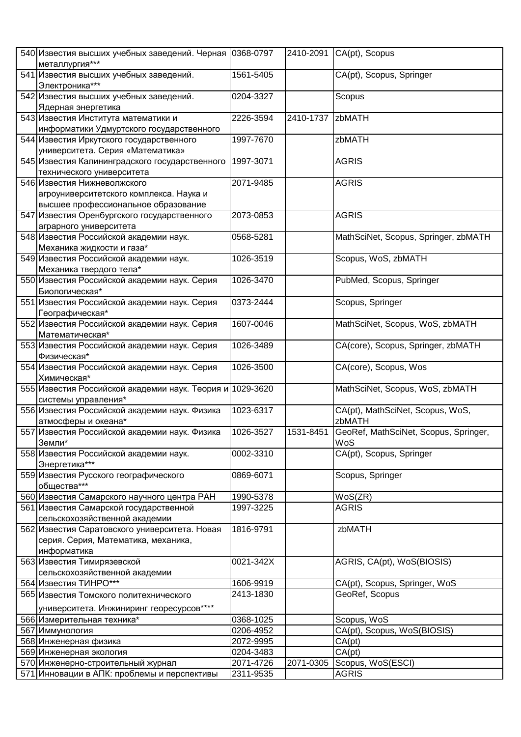| 540 Известия высших учебных заведений. Черная 0368-0797             |           |           | 2410-2091 CA(pt), Scopus              |
|---------------------------------------------------------------------|-----------|-----------|---------------------------------------|
| металлургия***                                                      |           |           |                                       |
| 541 Известия высших учебных заведений.                              | 1561-5405 |           | CA(pt), Scopus, Springer              |
| Электроника***                                                      |           |           |                                       |
| 542 Известия высших учебных заведений.                              | 0204-3327 |           | Scopus                                |
| Ядерная энергетика                                                  |           |           |                                       |
| 543 Известия Института математики и                                 | 2226-3594 | 2410-1737 | zbMATH                                |
| информатики Удмуртского государственного                            |           |           |                                       |
| 544 Известия Иркутского государственного                            | 1997-7670 |           | zbMATH                                |
| университета. Серия «Математика»                                    |           |           |                                       |
| 545 Известия Калининградского государственного                      | 1997-3071 |           | <b>AGRIS</b>                          |
| технического университета                                           |           |           |                                       |
| 546 Известия Нижневолжского                                         | 2071-9485 |           | <b>AGRIS</b>                          |
| агроуниверситетского комплекса. Наука и                             |           |           |                                       |
| высшее профессиональное образование                                 |           |           |                                       |
| 547 Известия Оренбургского государственного                         | 2073-0853 |           | <b>AGRIS</b>                          |
| аграрного университета                                              |           |           |                                       |
| 548 Известия Российской академии наук.                              | 0568-5281 |           | MathSciNet, Scopus, Springer, zbMATH  |
| Механика жидкости и газа*<br>549 Известия Российской академии наук. | 1026-3519 |           | Scopus, WoS, zbMATH                   |
| Механика твердого тела*                                             |           |           |                                       |
| 550 Известия Российской академии наук. Серия                        | 1026-3470 |           | PubMed, Scopus, Springer              |
| Биологическая*                                                      |           |           |                                       |
| 551 Известия Российской академии наук. Серия                        | 0373-2444 |           | Scopus, Springer                      |
| Географическая*                                                     |           |           |                                       |
| 552 Известия Российской академии наук. Серия                        | 1607-0046 |           | MathSciNet, Scopus, WoS, zbMATH       |
| Математическая*                                                     |           |           |                                       |
| 553 Известия Российской академии наук. Серия                        | 1026-3489 |           | CA(core), Scopus, Springer, zbMATH    |
| Физическая*                                                         |           |           |                                       |
| 554 Известия Российской академии наук. Серия                        | 1026-3500 |           | CA(core), Scopus, Wos                 |
| Химическая*                                                         |           |           |                                       |
| 555 Известия Российской академии наук. Теория и                     | 1029-3620 |           | MathSciNet, Scopus, WoS, zbMATH       |
| системы управления*                                                 |           |           |                                       |
| 556 Известия Российской академии наук. Физика                       | 1023-6317 |           | CA(pt), MathSciNet, Scopus, WoS,      |
| атмосферы и океана*                                                 |           |           | zbMATH                                |
| 557 Известия Российской академии наук. Физика                       | 1026-3527 | 1531-8451 | GeoRef, MathSciNet, Scopus, Springer, |
| Земли*<br>558 Известия Российской академии наук.                    | 0002-3310 |           | WoS<br>CA(pt), Scopus, Springer       |
| Энергетика***                                                       |           |           |                                       |
| 559 Известия Русского географического                               | 0869-6071 |           | Scopus, Springer                      |
| общества***                                                         |           |           |                                       |
| 560 Известия Самарского научного центра РАН                         | 1990-5378 |           | WoS(ZR)                               |
| 561 Известия Самарской государственной                              | 1997-3225 |           | <b>AGRIS</b>                          |
| сельскохозяйственной академии                                       |           |           |                                       |
| 562 Известия Саратовского университета. Новая                       | 1816-9791 |           | zbMATH                                |
| серия. Серия, Математика, механика,                                 |           |           |                                       |
| информатика                                                         |           |           |                                       |
| 563 Известия Тимирязевской                                          | 0021-342X |           | AGRIS, CA(pt), WoS(BIOSIS)            |
| сельскохозяйственной академии                                       |           |           |                                       |
| 564 Известия ТИНРО***                                               | 1606-9919 |           | CA(pt), Scopus, Springer, WoS         |
| 565 Известия Томского политехнического                              | 2413-1830 |           | GeoRef, Scopus                        |
| университета. Инжиниринг георесурсов****                            |           |           |                                       |
| 566 Измерительная техника*                                          | 0368-1025 |           | Scopus, WoS                           |
| 567 Иммунология                                                     | 0206-4952 |           | CA(pt), Scopus, WoS(BIOSIS)           |
| 568 Инженерная физика                                               | 2072-9995 |           | CA(pt)                                |
| 569 Инженерная экология                                             | 0204-3483 |           | CA(pt)                                |
| 570 Инженерно-строительный журнал                                   | 2071-4726 | 2071-0305 | Scopus, WoS(ESCI)                     |
| 571 Инновации в АПК: проблемы и перспективы                         | 2311-9535 |           | <b>AGRIS</b>                          |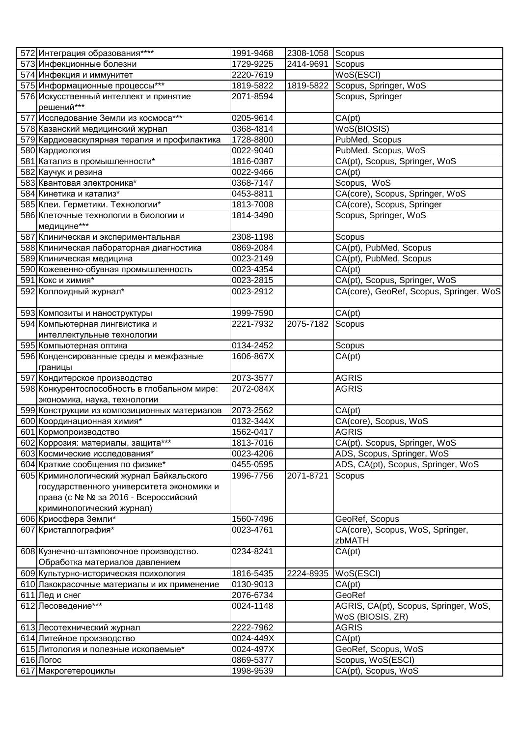| 572 Интеграция образования****               | 1991-9468 | 2308-1058 Scopus |                                         |
|----------------------------------------------|-----------|------------------|-----------------------------------------|
| 573 Инфекционные болезни                     | 1729-9225 | 2414-9691        | Scopus                                  |
| 574 Инфекция и иммунитет                     | 2220-7619 |                  | WoS(ESCI)                               |
| 575 Информационные процессы***               | 1819-5822 | 1819-5822        | Scopus, Springer, WoS                   |
| 576 Искусственный интеллект и принятие       | 2071-8594 |                  | Scopus, Springer                        |
| решений***                                   |           |                  |                                         |
| 577 Исследование Земли из космоса***         | 0205-9614 |                  | CA(pt)                                  |
| 578 Казанский медицинский журнал             | 0368-4814 |                  | WoS(BIOSIS)                             |
| 579 Кардиоваскулярная терапия и профилактика | 1728-8800 |                  | PubMed, Scopus                          |
| 580 Кардиология                              | 0022-9040 |                  | PubMed, Scopus, WoS                     |
| 581 Катализ в промышленности*                | 1816-0387 |                  | CA(pt), Scopus, Springer, WoS           |
| 582 Каучук и резина                          | 0022-9466 |                  | $\overline{CA(pt)}$                     |
| 583 Квантовая электроника*                   | 0368-7147 |                  | Scopus, WoS                             |
| 584 Кинетика и катализ*                      | 0453-8811 |                  | CA(core), Scopus, Springer, WoS         |
| 585 Клеи. Герметики. Технологии*             | 1813-7008 |                  | CA(core), Scopus, Springer              |
| 586 Клеточные технологии в биологии и        | 1814-3490 |                  | Scopus, Springer, WoS                   |
| медицине***                                  |           |                  |                                         |
| 587 Клиническая и экспериментальная          | 2308-1198 |                  | Scopus                                  |
| 588 Клиническая лабораторная диагностика     | 0869-2084 |                  | CA(pt), PubMed, Scopus                  |
| 589 Клиническая медицина                     | 0023-2149 |                  | CA(pt), PubMed, Scopus                  |
| 590 Кожевенно-обувная промышленность         | 0023-4354 |                  | CA(pt)                                  |
| 591 Кокс и химия*                            | 0023-2815 |                  | CA(pt), Scopus, Springer, WoS           |
| 592 Коллоидный журнал*                       | 0023-2912 |                  | CA(core), GeoRef, Scopus, Springer, WoS |
|                                              |           |                  |                                         |
| 593 Композиты и наноструктуры                | 1999-7590 |                  | CA(pt)                                  |
| 594 Компьютерная лингвистика и               | 2221-7932 | 2075-7182        | Scopus                                  |
| интеллектульные технологии                   |           |                  |                                         |
| 595 Компьютерная оптика                      | 0134-2452 |                  | Scopus                                  |
| 596 Конденсированные среды и межфазные       | 1606-867X |                  | CA(pt)                                  |
| границы                                      |           |                  |                                         |
| 597 Кондитерское производство                | 2073-3577 |                  | <b>AGRIS</b>                            |
| 598 Конкурентоспособность в глобальном мире: | 2072-084X |                  | <b>AGRIS</b>                            |
| экономика, наука, технологии                 |           |                  |                                         |
| 599 Конструкции из композиционных материалов | 2073-2562 |                  | CA(pt)                                  |
| 600 Координационная химия*                   | 0132-344X |                  | CA(core), Scopus, WoS                   |
| 601 Кормопроизводство                        | 1562-0417 |                  | <b>AGRIS</b>                            |
| 602 Коррозия: материалы, защита***           | 1813-7016 |                  | CA(pt). Scopus, Springer, WoS           |
| 603 Космические исследования*                | 0023-4206 |                  | ADS, Scopus, Springer, WoS              |
| 604 Краткие сообщения по физике*             | 0455-0595 |                  | ADS, CA(pt), Scopus, Springer, WoS      |
| 605 Криминологический журнал Байкальского    | 1996-7756 | 2071-8721        | Scopus                                  |
| государственного университета экономики и    |           |                  |                                         |
| права (с № № за 2016 - Всероссийский         |           |                  |                                         |
| криминологический журнал)                    |           |                  |                                         |
| 606 Криосфера Земли*                         | 1560-7496 |                  | GeoRef, Scopus                          |
| 607 Кристаллография*                         | 0023-4761 |                  | CA(core), Scopus, WoS, Springer,        |
|                                              |           |                  | zbMATH                                  |
| 608 Кузнечно-штамповочное производство.      | 0234-8241 |                  | CA(pt)                                  |
| Обработка материалов давлением               |           |                  |                                         |
| 609 Культурно-историческая психология        | 1816-5435 | 2224-8935        | WoS(ESCI)                               |
| 610 Лакокрасочные материалы и их применение  | 0130-9013 |                  | CA(pt)                                  |
| 611 Лед и снег                               | 2076-6734 |                  | GeoRef                                  |
| 612 Лесоведение***                           | 0024-1148 |                  | AGRIS, CA(pt), Scopus, Springer, WoS,   |
|                                              |           |                  | WoS (BIOSIS, ZR)                        |
| 613 Лесотехнический журнал                   | 2222-7962 |                  | <b>AGRIS</b>                            |
| 614 Литейное производство                    | 0024-449X |                  | CA(pt)                                  |
| 615 Литология и полезные ископаемые*         | 0024-497X |                  | GeoRef, Scopus, WoS                     |
| 616 Логос                                    | 0869-5377 |                  | Scopus, WoS(ESCI)                       |
| 617 Макрогетероциклы                         | 1998-9539 |                  | CA(pt), Scopus, WoS                     |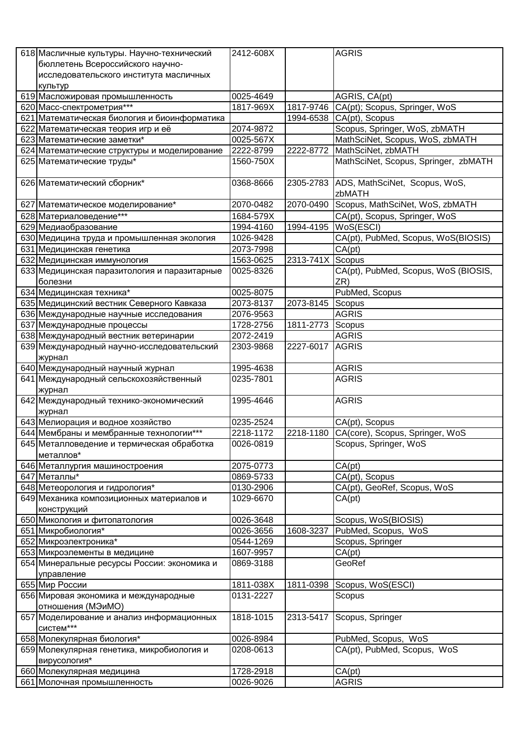| 618 Масличные культуры. Научно-технический                 | 2412-608X |           | <b>AGRIS</b>                                   |
|------------------------------------------------------------|-----------|-----------|------------------------------------------------|
| бюллетень Всероссийского научно-                           |           |           |                                                |
| исследовательского института масличных                     |           |           |                                                |
| культур                                                    |           |           |                                                |
| 619 Масложировая промышленность                            | 0025-4649 |           | AGRIS, CA(pt)                                  |
| 620 Масс-спектрометрия***                                  | 1817-969X | 1817-9746 | CA(pt); Scopus, Springer, WoS                  |
| 621 Математическая биология и биоинформатика               |           | 1994-6538 | CA(pt), Scopus                                 |
| 622 Математическая теория игр и её                         | 2074-9872 |           | Scopus, Springer, WoS, zbMATH                  |
| 623 Математические заметки*                                | 0025-567X |           | MathSciNet, Scopus, WoS, zbMATH                |
| 624 Математические структуры и моделирование               | 2222-8799 | 2222-8772 | MathSciNet, zbMATH                             |
| 625 Математические труды*                                  | 1560-750X |           | MathSciNet, Scopus, Springer, zbMATH           |
|                                                            |           |           |                                                |
| 626 Математический сборник*                                | 0368-8666 | 2305-2783 | ADS, MathSciNet, Scopus, WoS,                  |
|                                                            |           |           | zbMATH                                         |
| 627 Математическое моделирование*                          | 2070-0482 | 2070-0490 | Scopus, MathSciNet, WoS, zbMATH                |
| 628 Материаловедение***                                    | 1684-579X |           | CA(pt), Scopus, Springer, WoS                  |
| 629 Медиаобразование                                       | 1994-4160 | 1994-4195 | WoS(ESCI)                                      |
| 630 Медицина труда и промышленная экология                 | 1026-9428 |           | CA(pt), PubMed, Scopus, WoS(BIOSIS)            |
|                                                            | 2073-7998 |           |                                                |
| 631 Медицинская генетика                                   | 1563-0625 | 2313-741X | CA(pt)                                         |
| 632 Медицинская иммунология                                |           |           | Scopus<br>CA(pt), PubMed, Scopus, WoS (BIOSIS, |
| 633 Медицинская паразитология и паразитарные               | 0025-8326 |           | ZR)                                            |
| болезни                                                    | 0025-8075 |           | PubMed, Scopus                                 |
| 634 Медицинская техника*                                   |           |           |                                                |
| 635 Медицинский вестник Северного Кавказа                  | 2073-8137 | 2073-8145 | Scopus                                         |
| 636 Международные научные исследования                     | 2076-9563 |           | <b>AGRIS</b>                                   |
| 637 Международные процессы                                 | 1728-2756 | 1811-2773 | Scopus                                         |
| 638 Международный вестник ветеринарии                      | 2072-2419 |           | <b>AGRIS</b>                                   |
| 639 Международный научно-исследовательский                 | 2303-9868 | 2227-6017 | <b>AGRIS</b>                                   |
| журнал                                                     |           |           |                                                |
| 640 Международный научный журнал                           | 1995-4638 |           | <b>AGRIS</b>                                   |
| 641 Международный сельскохозяйственный<br>журнал           | 0235-7801 |           | <b>AGRIS</b>                                   |
| 642 Международный технико-экономический                    | 1995-4646 |           | <b>AGRIS</b>                                   |
| журнал                                                     |           |           |                                                |
| 643 Мелиорация и водное хозяйство                          | 0235-2524 |           | CA(pt), Scopus                                 |
| 644 Мембраны и мембранные технологии***                    | 2218-1172 | 2218-1180 | CA(core), Scopus, Springer, WoS                |
| 645 Металловедение и термическая обработка                 | 0026-0819 |           | Scopus, Springer, WoS                          |
| металлов*                                                  |           |           |                                                |
| 646 Металлургия машиностроения                             | 2075-0773 |           | CA(pt)                                         |
| 647 Металлы*                                               | 0869-5733 |           | CA(pt), Scopus                                 |
| 648 Метеорология и гидрология*                             | 0130-2906 |           | CA(pt), GeoRef, Scopus, WoS                    |
| 649 Механика композиционных материалов и                   | 1029-6670 |           | CA(pt)                                         |
| конструкций                                                |           |           |                                                |
| 650 Микология и фитопатология                              | 0026-3648 |           | Scopus, WoS(BIOSIS)                            |
| 651 Микробиология*                                         | 0026-3656 | 1608-3237 | PubMed, Scopus, WoS                            |
| 652 Микроэлектроника*                                      | 0544-1269 |           | Scopus, Springer                               |
| 653 Микроэлементы в медицине                               | 1607-9957 |           | CA(pt)                                         |
| 654 Минеральные ресурсы России: экономика и                | 0869-3188 |           | GeoRef                                         |
| управление                                                 |           |           |                                                |
| 655 Мир России                                             | 1811-038X | 1811-0398 | Scopus, WoS(ESCI)                              |
| 656 Мировая экономика и международные<br>отношения (МЭиМО) | 0131-2227 |           | Scopus                                         |
| 657 Моделирование и анализ информационных                  | 1818-1015 | 2313-5417 | Scopus, Springer                               |
| систем***                                                  |           |           |                                                |
| 658 Молекулярная биология*                                 | 0026-8984 |           | PubMed, Scopus, WoS                            |
| 659 Молекулярная генетика, микробиология и<br>вирусология* | 0208-0613 |           | CA(pt), PubMed, Scopus, WoS                    |
| 660 Молекулярная медицина                                  | 1728-2918 |           | CA(pt)                                         |
| 661 Молочная промышленность                                | 0026-9026 |           | <b>AGRIS</b>                                   |
|                                                            |           |           |                                                |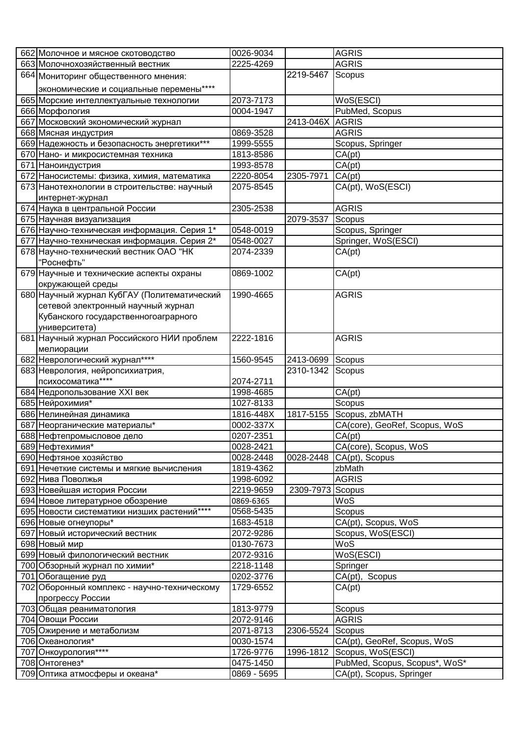| 662 Молочное и мясное скотоводство                               | 0026-9034              |                  | <b>AGRIS</b>                                              |
|------------------------------------------------------------------|------------------------|------------------|-----------------------------------------------------------|
| 663 Молочнохозяйственный вестник                                 | 2225-4269              |                  | <b>AGRIS</b>                                              |
| 664 Мониторинг общественного мнения:                             |                        | 2219-5467        | Scopus                                                    |
| экономические и социальные перемены****                          |                        |                  |                                                           |
| 665 Морские интеллектуальные технологии                          | 2073-7173              |                  | WoS(ESCI)                                                 |
| 666 Морфология                                                   | 0004-1947              |                  | PubMed, Scopus                                            |
| 667 Московский экономический журнал                              |                        | 2413-046X        | AGRIS                                                     |
| 668 Мясная индустрия                                             | 0869-3528              |                  | <b>AGRIS</b>                                              |
| 669 Надежность и безопасность энергетики***                      | 1999-5555              |                  | Scopus, Springer                                          |
| 670 Нано- и микросистемная техника                               | 1813-8586              |                  | CA(pt)                                                    |
| 671 Наноиндустрия                                                | 1993-8578              |                  | $\overline{CA}$ (pt)                                      |
| 672 Наносистемы: физика, химия, математика                       | 2220-8054              | 2305-7971        | CA(pt)                                                    |
| 673 Нанотехнологии в строительстве: научный                      | 2075-8545              |                  | CA(pt), WoS(ESCI)                                         |
| интернет-журнал                                                  |                        |                  |                                                           |
| 674 Наука в центральной России                                   | 2305-2538              |                  | <b>AGRIS</b>                                              |
| 675 Научная визуализация                                         |                        | 2079-3537        | Scopus                                                    |
| 676 Научно-техническая информация. Серия 1*                      | 0548-0019              |                  | Scopus, Springer                                          |
| 677 Научно-техническая информация. Серия 2*                      | 0548-0027              |                  | Springer, WoS(ESCI)                                       |
| 678 Научно-технический вестник ОАО "НК                           | 2074-2339              |                  | CA(pt)                                                    |
| "Роснефть"                                                       |                        |                  |                                                           |
| 679 Научные и технические аспекты охраны                         | 0869-1002              |                  | CA(pt)                                                    |
| окружающей среды                                                 |                        |                  |                                                           |
| 680 Научный журнал КубГАУ (Политематический                      | 1990-4665              |                  | <b>AGRIS</b>                                              |
| сетевой электронный научный журнал                               |                        |                  |                                                           |
| Кубанского государственногоаграрного                             |                        |                  |                                                           |
| университета)                                                    |                        |                  |                                                           |
| 681 Научный журнал Российского НИИ проблем                       | 2222-1816              |                  | <b>AGRIS</b>                                              |
| мелиорации                                                       |                        |                  |                                                           |
| 682 Неврологический журнал****                                   | 1560-9545              | 2413-0699        | Scopus                                                    |
| 683 Неврология, нейропсихиатрия,                                 |                        | 2310-1342        | Scopus                                                    |
|                                                                  |                        |                  |                                                           |
| психосоматика****                                                | 2074-2711              |                  |                                                           |
| 684 Недропользование XXI век                                     | 1998-4685              |                  | CA(pt)                                                    |
| 685 Нейрохимия*                                                  | 1027-8133              |                  | Scopus                                                    |
| 686 Нелинейная динамика                                          | 1816-448X              | 1817-5155        | Scopus, zbMATH                                            |
| 687 Неорганические материалы*                                    | 0002-337X              |                  | CA(core), GeoRef, Scopus, WoS                             |
| 688 Нефтепромысловое дело                                        | 0207-2351              |                  | CA(pt)                                                    |
| 689 Нефтехимия*                                                  | 0028-2421              |                  | CA(core), Scopus, WoS                                     |
| 690 Нефтяное хозяйство                                           | 0028-2448              | 0028-2448        | CA(pt), Scopus                                            |
| 691 Нечеткие системы и мягкие вычисления                         | 1819-4362              |                  | zbMath                                                    |
| 692 Нива Поволжья                                                | 1998-6092              |                  | <b>AGRIS</b>                                              |
| 693 Новейшая история России                                      | 2219-9659              | 2309-7973 Scopus |                                                           |
| 694 Новое литературное обозрение                                 | 0869-6365              |                  | WoS                                                       |
| 695 Новости систематики низших растений****                      | 0568-5435              |                  | Scopus                                                    |
| 696 Новые огнеупоры*                                             | 1683-4518              |                  | CA(pt), Scopus, WoS                                       |
| 697 Новый исторический вестник                                   | 2072-9286              |                  | Scopus, WoS(ESCI)                                         |
| 698 Новый мир                                                    | 0130-7673              |                  | WoS                                                       |
| 699 Новый филологический вестник                                 | 2072-9316              |                  | WoS(ESCI)                                                 |
| 700 Обзорный журнал по химии*                                    | 2218-1148              |                  | Springer                                                  |
| 701 Обогащение руд                                               | 0202-3776<br>1729-6552 |                  | CA(pt), Scopus                                            |
| 702 Оборонный комплекс - научно-техническому<br>прогрессу России |                        |                  | CA(pt)                                                    |
| 703 Общая реаниматология                                         | 1813-9779              |                  | Scopus                                                    |
| 704 Овощи России                                                 | 2072-9146              |                  | <b>AGRIS</b>                                              |
| 705 Ожирение и метаболизм                                        | 2071-8713              | 2306-5524        | Scopus                                                    |
| 706 Океанология*                                                 | 0030-1574              |                  | CA(pt), GeoRef, Scopus, WoS                               |
| 707 Онкоурология****                                             | 1726-9776              | 1996-1812        | Scopus, WoS(ESCI)                                         |
| 708 Онтогенез*                                                   | 0475-1450              |                  | PubMed, Scopus, Scopus*, WoS*<br>CA(pt), Scopus, Springer |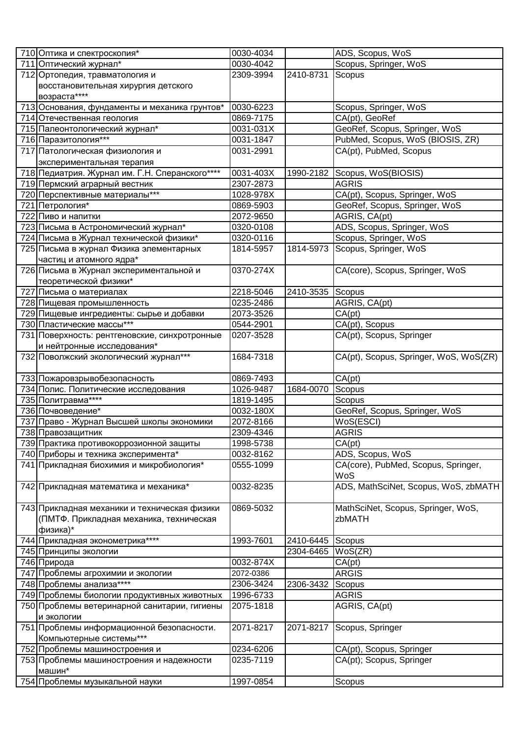| 710 Оптика и спектроскопия*                                | 0030-4034 |                  | ADS, Scopus, WoS                              |
|------------------------------------------------------------|-----------|------------------|-----------------------------------------------|
| 711 Оптический журнал*                                     | 0030-4042 |                  | Scopus, Springer, WoS                         |
| 712 Ортопедия, травматология и                             | 2309-3994 | 2410-8731        | Scopus                                        |
| восстановительная хирургия детского                        |           |                  |                                               |
| возраста****                                               |           |                  |                                               |
| 713 Основания, фундаменты и механика грунтов*              | 0030-6223 |                  | Scopus, Springer, WoS                         |
| 714 Отечественная геология                                 | 0869-7175 |                  | CA(pt), GeoRef                                |
| 715 Палеонтологический журнал*                             | 0031-031X |                  | GeoRef, Scopus, Springer, WoS                 |
| 716 Паразитология***                                       | 0031-1847 |                  | PubMed, Scopus, WoS (BIOSIS, ZR)              |
|                                                            | 0031-2991 |                  |                                               |
| 717 Патологическая физиология и                            |           |                  | CA(pt), PubMed, Scopus                        |
| экспериментальная терапия                                  |           |                  |                                               |
| 718 Педиатрия. Журнал им. Г.Н. Сперанского****             | 0031-403X |                  | 1990-2182 Scopus, WoS(BIOSIS)<br><b>AGRIS</b> |
| 719 Пермский аграрный вестник                              | 2307-2873 |                  |                                               |
| 720 Перспективные материалы***                             | 1028-978X |                  | CA(pt), Scopus, Springer, WoS                 |
| 721 Петрология*                                            | 0869-5903 |                  | GeoRef, Scopus, Springer, WoS                 |
| 722 Пиво и напитки                                         | 2072-9650 |                  | AGRIS, CA(pt)                                 |
| 723 Письма в Астрономический журнал*                       | 0320-0108 |                  | ADS, Scopus, Springer, WoS                    |
| 724 Письма в Журнал технической физики*                    | 0320-0116 |                  | Scopus, Springer, WoS                         |
| 725 Письма в журнал Физика элементарных                    | 1814-5957 | 1814-5973        | Scopus, Springer, WoS                         |
| частиц и атомного ядра*                                    |           |                  |                                               |
| 726 Письма в Журнал экспериментальной и                    | 0370-274X |                  | CA(core), Scopus, Springer, WoS               |
| теоретической физики*                                      |           |                  |                                               |
| 727 Письма о материалах                                    | 2218-5046 | 2410-3535        | Scopus                                        |
| 728 Пищевая промышленность                                 | 0235-2486 |                  | AGRIS, CA(pt)                                 |
| 729 Пищевые ингредиенты: сырье и добавки                   | 2073-3526 |                  | CA(pt)                                        |
| 730 Пластические массы***                                  | 0544-2901 |                  | CA(pt), Scopus                                |
| 731 Поверхность: рентгеновские, синхротронные              | 0207-3528 |                  | CA(pt), Scopus, Springer                      |
| и нейтронные исследования*                                 |           |                  |                                               |
| 732 Поволжский экологический журнал***                     | 1684-7318 |                  | CA(pt), Scopus, Springer, WoS, WoS(ZR)        |
| 733 Пожаровзрывобезопасность                               | 0869-7493 |                  | CA(pt)                                        |
| 734 Полис. Политические исследования                       | 1026-9487 | 1684-0070        | Scopus                                        |
| 735 Политравма****                                         | 1819-1495 |                  | Scopus                                        |
| 736 Почвоведение*                                          | 0032-180X |                  | GeoRef, Scopus, Springer, WoS                 |
| 737 Право - Журнал Высшей школы экономики                  | 2072-8166 |                  | $\overline{\mathsf{WoS}}$ (ESCI)              |
| 738 Правозащитник                                          | 2309-4346 |                  | <b>AGRIS</b>                                  |
| 739 Практика противокоррозионной защиты                    | 1998-5738 |                  | CA(pt)                                        |
| 740 Приборы и техника эксперимента*                        | 0032-8162 |                  | ADS, Scopus, WoS                              |
| 741 Прикладная биохимия и микробиология*                   | 0555-1099 |                  | CA(core), PubMed, Scopus, Springer,           |
|                                                            |           |                  | WoS                                           |
| 742 Прикладная математика и механика*                      | 0032-8235 |                  | ADS, MathSciNet, Scopus, WoS, zbMATH          |
|                                                            |           |                  |                                               |
| 743 Прикладная механики и техническая физики               | 0869-5032 |                  | MathSciNet, Scopus, Springer, WoS,            |
| (ПМТФ. Прикладная механика, техническая                    |           |                  | zbMATH                                        |
| физика)*                                                   |           |                  |                                               |
| 744 Прикладная эконометрика****                            | 1993-7601 | 2410-6445 Scopus |                                               |
| 745 Принципы экологии                                      |           | 2304-6465        | WoS(ZR)                                       |
| 746 Природа                                                | 0032-874X |                  | CA(pt)                                        |
| 747 Проблемы агрохимии и экологии                          | 2072-0386 |                  | <b>ARGIS</b>                                  |
| 748 Проблемы анализа****                                   | 2306-3424 | 2306-3432        | Scopus                                        |
| 749 Проблемы биологии продуктивных животных                | 1996-6733 |                  | <b>AGRIS</b>                                  |
| 750 Проблемы ветеринарной санитарии, гигиены<br>и экологии | 2075-1818 |                  | AGRIS, CA(pt)                                 |
| 751 Проблемы информационной безопасности.                  | 2071-8217 | 2071-8217        | Scopus, Springer                              |
| Компьютерные системы***                                    |           |                  |                                               |
| 752 Проблемы машиностроения и                              | 0234-6206 |                  | CA(pt), Scopus, Springer                      |
| 753 Проблемы машиностроения и надежности                   | 0235-7119 |                  | CA(pt); Scopus, Springer                      |
| машин*                                                     |           |                  |                                               |
| 754 Проблемы музыкальной науки                             | 1997-0854 |                  | Scopus                                        |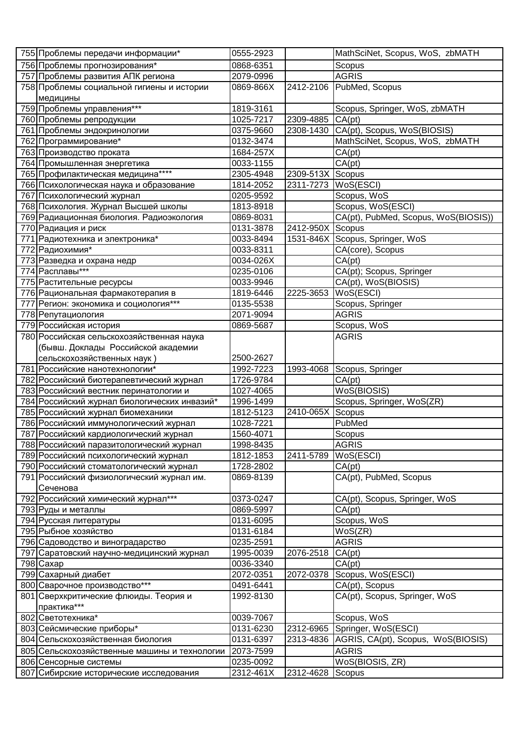| 755 Проблемы передачи информации*                     | 0555-2923              |           | MathSciNet, Scopus, WoS, zbMATH         |
|-------------------------------------------------------|------------------------|-----------|-----------------------------------------|
| 756 Проблемы прогнозирования*                         | 0868-6351              |           | Scopus                                  |
| 757 Проблемы развития АПК региона                     | 2079-0996              |           | <b>AGRIS</b>                            |
| 758 Проблемы социальной гигиены и истории             | 0869-866X              | 2412-2106 | PubMed, Scopus                          |
| медицины                                              |                        |           |                                         |
| 759 Проблемы управления***                            | 1819-3161              |           | Scopus, Springer, WoS, zbMATH           |
| 760 Проблемы репродукции                              | 1025-7217              | 2309-4885 | CA(pt)                                  |
| 761 Проблемы эндокринологии                           | 0375-9660              | 2308-1430 | CA(pt), Scopus, WoS(BIOSIS)             |
| 762 Программирование*                                 | 0132-3474              |           | MathSciNet, Scopus, WoS, zbMATH         |
| 763 Производство проката                              | 1684-257X              |           | CA(pt)                                  |
| 764 Промышленная энергетика                           | 0033-1155              |           | CA(pt)                                  |
| 765 Профилактическая медицина****                     | 2305-4948              | 2309-513X | Scopus                                  |
| 766 Психологическая наука и образование               | 1814-2052              | 2311-7273 | WoS(ESCI)                               |
| 767 Психологический журнал                            | 0205-9592              |           | Scopus, WoS                             |
| 768 Психология. Журнал Высшей школы                   | 1813-8918              |           | Scopus, WoS(ESCI)                       |
| 769 Радиационная биология. Радиоэкология              | 0869-8031              |           | CA(pt), PubMed, Scopus, WoS(BIOSIS))    |
| 770 Радиация и риск                                   | 0131-3878              | 2412-950X | Scopus                                  |
| 771 Радиотехника и электроника*                       | 0033-8494              |           | 1531-846X Scopus, Springer, WoS         |
| 772 Радиохимия*                                       | 0033-8311              |           | CA(core), Scopus                        |
| 773 Разведка и охрана недр                            | 0034-026X              |           | $\overline{CA}$ (pt)                    |
| 774 Расплавы***                                       | 0235-0106              |           | CA(pt); Scopus, Springer                |
| 775 Растительные ресурсы                              | 0033-9946              |           | CA(pt), WoS(BIOSIS)                     |
| 776 Рациональная фармакотерапия в                     | 1819-6446              | 2225-3653 | WoS(ESCI)                               |
| 777 Регион: экономика и социология***                 | 0135-5538              |           | Scopus, Springer                        |
| 778 Репутациология                                    | 2071-9094              |           | <b>AGRIS</b>                            |
| 779 Российская история                                | 0869-5687              |           | Scopus, WoS                             |
| 780 Российская сельскохозяйственная наука             |                        |           | <b>AGRIS</b>                            |
| (бывш. Доклады Российской академии                    |                        |           |                                         |
| сельскохозяйственных наук)                            | 2500-2627              |           |                                         |
| 781 Российские нанотехнологии*                        | 1992-7223              | 1993-4068 | Scopus, Springer                        |
| 782 Российский биотерапевтический журнал              | 1726-9784              |           | CA(pt)                                  |
| 783 Российский вестник перинатологии и                | 1027-4065              |           | WoS(BIOSIS)                             |
| 784 Российский журнал биологических инвазий*          | 1996-1499              |           | Scopus, Springer, WoS(ZR)               |
| 785 Российский журнал биомеханики                     | 1812-5123              | 2410-065X | Scopus                                  |
| 786 Российский иммунологический журнал                | 1028-7221              |           | PubMed                                  |
| 787 Российский кардиологический журнал                | 1560-4071              |           | Scopus                                  |
| 788 Российский паразитологический журнал              | 1998-8435              |           | <b>AGRIS</b>                            |
| 789 Российский психологический журнал                 | 1812-1853<br>1728-2802 | 2411-5789 | WoS(ESCI)                               |
| 790 Российский стоматологический журнал               |                        |           | CA(pt)                                  |
| 791 Российский физиологический журнал им.<br>Сеченова | 0869-8139              |           | CA(pt), PubMed, Scopus                  |
| 792 Российский химический журнал***                   | 0373-0247              |           |                                         |
|                                                       | 0869-5997              |           | CA(pt), Scopus, Springer, WoS<br>CA(pt) |
| 793 Руды и металлы<br>794 Русская литературы          | 0131-6095              |           | Scopus, WoS                             |
| 795 Рыбное хозяйство                                  | 0131-6184              |           | WoS(ZR)                                 |
| 796 Садоводство и виноградарство                      | 0235-2591              |           | <b>AGRIS</b>                            |
| 797 Саратовский научно-медицинский журнал             | 1995-0039              | 2076-2518 | CA(pt)                                  |
| 798 Caxap                                             | 0036-3340              |           | CA(pt)                                  |
| 799 Сахарный диабет                                   | 2072-0351              | 2072-0378 | Scopus, WoS(ESCI)                       |
| 800 Сварочное производство***                         | 0491-6441              |           | CA(pt), Scopus                          |
| 801 Сверхкритические флюиды. Теория и                 | 1992-8130              |           | CA(pt), Scopus, Springer, WoS           |
| практика***                                           |                        |           |                                         |
| 802 Светотехника*                                     | 0039-7067              |           | Scopus, WoS                             |
| 803 Сейсмические приборы*                             | 0131-6230              | 2312-6965 | Springer, WoS(ESCI)                     |
| 804 Сельскохозяйственная биология                     | 0131-6397              | 2313-4836 | AGRIS, CA(pt), Scopus, WoS(BIOSIS)      |
| 805 Сельскохозяйственные машины и технологии          | 2073-7599              |           | <b>AGRIS</b>                            |
| 806 Сенсорные системы                                 | 0235-0092              |           | WoS(BIOSIS, ZR)                         |
| 807 Сибирские исторические исследования               | 2312-461X              | 2312-4628 | Scopus                                  |
|                                                       |                        |           |                                         |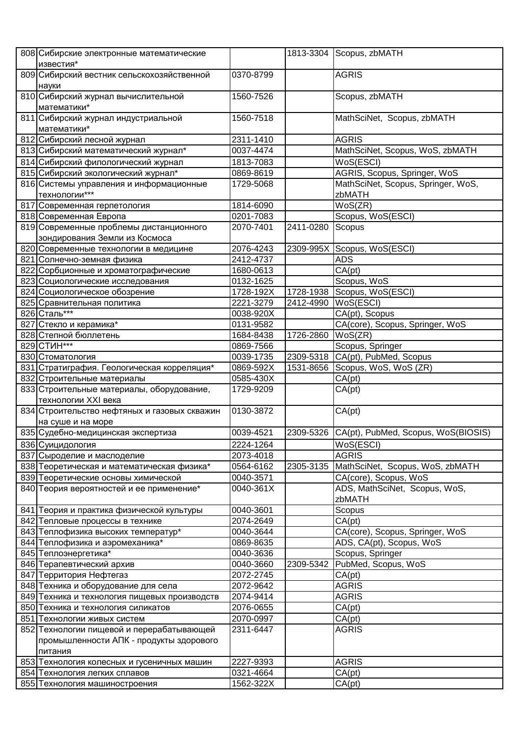| 808 Сибирские электронные математические     |           |           | 1813-3304 Scopus, zbMATH                      |
|----------------------------------------------|-----------|-----------|-----------------------------------------------|
| известия*                                    |           |           |                                               |
| 809 Сибирский вестник сельскохозяйственной   | 0370-8799 |           | <b>AGRIS</b>                                  |
| науки                                        |           |           |                                               |
| 810 Сибирский журнал вычислительной          | 1560-7526 |           | Scopus, zbMATH                                |
| математики*                                  |           |           |                                               |
| 811 Сибирский журнал индустриальной          | 1560-7518 |           | MathSciNet, Scopus, zbMATH                    |
| математики*                                  |           |           |                                               |
| 812 Сибирский лесной журнал                  | 2311-1410 |           | <b>AGRIS</b>                                  |
| 813 Сибирский математический журнал*         | 0037-4474 |           | MathSciNet, Scopus, WoS, zbMATH               |
| 814 Сибирский филологический журнал          | 1813-7083 |           | WoS(ESCI)                                     |
| 815 Сибирский экологический журнал*          | 0869-8619 |           | AGRIS, Scopus, Springer, WoS                  |
| 816 Системы управления и информационные      | 1729-5068 |           | MathSciNet, Scopus, Springer, WoS,            |
| технологии***                                |           |           | zbMATH                                        |
| 817 Современная герпетология                 | 1814-6090 |           | WoS(ZR)                                       |
| 818 Современная Европа                       | 0201-7083 |           | Scopus, WoS(ESCI)                             |
| 819 Современные проблемы дистанционного      | 2070-7401 | 2411-0280 | Scopus                                        |
| зондирования Земли из Космоса                |           |           |                                               |
| 820 Современные технологии в медицине        | 2076-4243 | 2309-995X | Scopus, WoS(ESCI)                             |
| 821 Солнечно-земная физика                   | 2412-4737 |           | <b>ADS</b>                                    |
| 822 Сорбционные и хроматографические         | 1680-0613 |           | CA(pt)                                        |
| 823 Социологические исследования             | 0132-1625 |           | Scopus, WoS                                   |
| 824 Социологическое обозрение                | 1728-192X | 1728-1938 | Scopus, WoS(ESCI)                             |
| 825 Сравнительная политика                   | 2221-3279 | 2412-4990 | WoS(ESCI)                                     |
| 826 Сталь***                                 | 0038-920X |           | CA(pt), Scopus                                |
| 827 Стекло и керамика*                       | 0131-9582 |           | CA(core), Scopus, Springer, WoS               |
| 828 Степной бюллетень                        | 1684-8438 | 1726-2860 | WoS(ZR)                                       |
| 829 CTMH***                                  | 0869-7566 |           | Scopus, Springer                              |
| 830 Стоматология                             | 0039-1735 | 2309-5318 | CA(pt), PubMed, Scopus                        |
| 831 Стратиграфия. Геологическая корреляция*  | 0869-592X | 1531-8656 | Scopus, WoS, WoS (ZR)                         |
| 832 Строительные материалы                   | 0585-430X |           | CA(pt)                                        |
| 833 Строительные материалы, оборудование,    | 1729-9209 |           | CA(pt)                                        |
| технологии XXI века                          |           |           |                                               |
| 834 Строительство нефтяных и газовых скважин | 0130-3872 |           | CA(pt)                                        |
| на суше и на море                            |           |           |                                               |
| 835 Судебно-медицинская экспертиза           | 0039-4521 |           | 2309-5326 CA(pt), PubMed, Scopus, WoS(BIOSIS) |
| 836 Суицидология                             | 2224-1264 |           | WoS(ESCI)                                     |
| 837 Сыроделие и маслоделие                   | 2073-4018 |           | <b>AGRIS</b>                                  |
| 838 Теоретическая и математическая физика*   | 0564-6162 | 2305-3135 | MathSciNet, Scopus, WoS, zbMATH               |
| 839 Теоретические основы химической          | 0040-3571 |           | CA(core), Scopus, WoS                         |
| 840 Теория вероятностей и ее применение*     | 0040-361X |           | ADS, MathSciNet, Scopus, WoS,                 |
|                                              |           |           | zbMATH                                        |
| 841 Теория и практика физической культуры    | 0040-3601 |           | Scopus                                        |
| 842 Тепловые процессы в технике              | 2074-2649 |           | CA(pt)                                        |
| 843 Теплофизика высоких температур*          | 0040-3644 |           | CA(core), Scopus, Springer, WoS               |
| 844 Теплофизика и аэромеханика*              | 0869-8635 |           | ADS, CA(pt), Scopus, WoS                      |
| 845 Теплоэнергетика*                         | 0040-3636 |           | Scopus, Springer                              |
| 846 Терапевтический архив                    | 0040-3660 | 2309-5342 | PubMed, Scopus, WoS                           |
| 847 Территория Нефтегаз                      | 2072-2745 |           | CA(pt)                                        |
| 848 Техника и оборудование для села          | 2072-9642 |           | <b>AGRIS</b>                                  |
| 849 Техника и технология пищевых производств | 2074-9414 |           | <b>AGRIS</b>                                  |
| 850 Техника и технология силикатов           | 2076-0655 |           | CA(pt)                                        |
| 851 Технологии живых систем                  | 2070-0997 |           | CA(pt)                                        |
| 852 Технологии пищевой и перерабатывающей    | 2311-6447 |           | <b>AGRIS</b>                                  |
| промышленности АПК - продукты здорового      |           |           |                                               |
| питания                                      |           |           |                                               |
| 853 Технология колесных и гусеничных машин   | 2227-9393 |           | <b>AGRIS</b>                                  |
| 854 Технология легких сплавов                | 0321-4664 |           | CA(pt)                                        |
| 855 Технология машиностроения                | 1562-322X |           | CA(pt)                                        |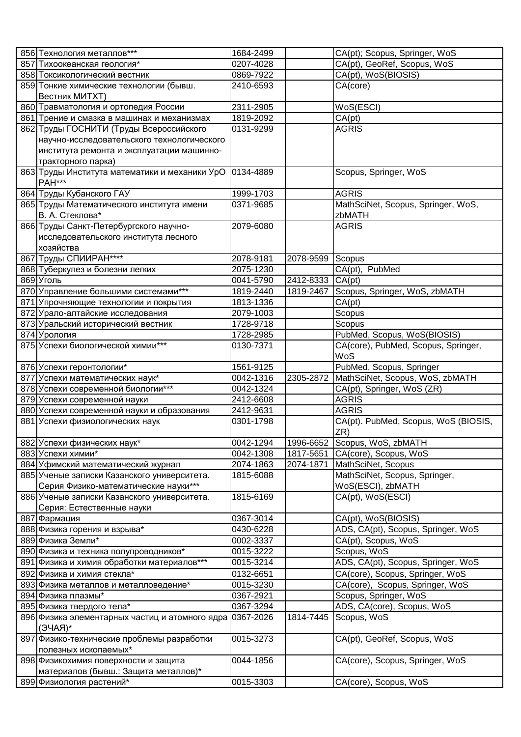| 856 Технология металлов***                               | 1684-2499 |           | CA(pt); Scopus, Springer, WoS        |
|----------------------------------------------------------|-----------|-----------|--------------------------------------|
| 857 Тихоокеанская геология*                              | 0207-4028 |           | CA(pt), GeoRef, Scopus, WoS          |
| 858 Токсикологический вестник                            | 0869-7922 |           | CA(pt), WoS(BIOSIS)                  |
| 859 Тонкие химические технологии (бывш.                  | 2410-6593 |           | CA(core)                             |
| Вестник MИTXT)                                           |           |           |                                      |
| 860 Травматология и ортопедия России                     | 2311-2905 |           | WoS(ESCI)                            |
| 861 Трение и смазка в машинах и механизмах               | 1819-2092 |           | CA(pt)                               |
| 862 Труды ГОСНИТИ (Труды Всероссийского                  | 0131-9299 |           | <b>AGRIS</b>                         |
| научно-исследовательского технологического               |           |           |                                      |
| института ремонта и эксплуатации машинно-                |           |           |                                      |
| тракторного парка)                                       |           |           |                                      |
| 863 Труды Института математики и механики УрО            | 0134-4889 |           | Scopus, Springer, WoS                |
| <b>PAH***</b>                                            |           |           |                                      |
| 864 Труды Кубанского ГАУ                                 | 1999-1703 |           | <b>AGRIS</b>                         |
| 865 Труды Математического института имени                | 0371-9685 |           | MathSciNet, Scopus, Springer, WoS,   |
| В. А. Стеклова*                                          |           |           | zbMATH                               |
| 866 Труды Санкт-Петербургского научно-                   | 2079-6080 |           | <b>AGRIS</b>                         |
| исследовательского института лесного                     |           |           |                                      |
| хозяйства                                                |           |           |                                      |
| 867 Труды СПИИРАН****                                    | 2078-9181 | 2078-9599 | Scopus                               |
| 868 Туберкулез и болезни легких                          | 2075-1230 |           | CA(pt), PubMed                       |
| 869 Уголь                                                | 0041-5790 | 2412-8333 | CA(pt)                               |
| 870 Управление большими системами***                     | 1819-2440 | 1819-2467 | Scopus, Springer, WoS, zbMATH        |
| 871 Упрочняющие технологии и покрытия                    | 1813-1336 |           | CA(pt)                               |
| 872 Урало-алтайские исследования                         | 2079-1003 |           | Scopus                               |
| 873 Уральский исторический вестник                       | 1728-9718 |           | Scopus                               |
| 874 Урология                                             | 1728-2985 |           | PubMed, Scopus, WoS(BIOSIS)          |
| 875 Успехи биологической химии***                        | 0130-7371 |           | CA(core), PubMed, Scopus, Springer,  |
|                                                          |           |           | WoS                                  |
| 876 Успехи геронтологии*                                 | 1561-9125 |           | PubMed, Scopus, Springer             |
| 877 Успехи математических наук*                          | 0042-1316 | 2305-2872 | MathSciNet, Scopus, WoS, zbMATH      |
| 878 Успехи современной биологии***                       | 0042-1324 |           | CA(pt), Springer, WoS (ZR)           |
| 879 Успехи современной науки                             | 2412-6608 |           | <b>AGRIS</b>                         |
| 880 Успехи современной науки и образования               | 2412-9631 |           | <b>AGRIS</b>                         |
| 881 Успехи физиологических наук                          | 0301-1798 |           | CA(pt). PubMed, Scopus, WoS (BIOSIS, |
|                                                          |           |           | ZR)                                  |
| 882 Успехи физических наук*                              | 0042-1294 | 1996-6652 | Scopus, WoS, zbMATH                  |
| 883 Успехи химии*                                        | 0042-1308 | 1817-5651 | CA(core), Scopus, WoS                |
| 884 Уфимский математический журнал                       | 2074-1863 | 2074-1871 | MathSciNet, Scopus                   |
| 885 Ученые записки Казанского университета.              | 1815-6088 |           | MathSciNet, Scopus, Springer,        |
| Серия Физико-математические науки***                     |           |           | WoS(ESCI), zbMATH                    |
| 886 Ученые записки Казанского университета.              | 1815-6169 |           | CA(pt), WoS(ESCI)                    |
| Серия: Естественные науки                                |           |           |                                      |
| 887 Фармация                                             | 0367-3014 |           | CA(pt), WoS(BIOSIS)                  |
| 888 Физика горения и взрыва*                             | 0430-6228 |           | ADS, CA(pt), Scopus, Springer, WoS   |
| 889 Физика Земли*                                        | 0002-3337 |           | CA(pt), Scopus, WoS                  |
| 890 Физика и техника полупроводников*                    | 0015-3222 |           | Scopus, WoS                          |
| 891 Физика и химия обработки материалов***               | 0015-3214 |           | ADS, CA(pt), Scopus, Springer, WoS   |
| 892 Физика и химия стекла*                               | 0132-6651 |           | CA(core), Scopus, Springer, WoS      |
| 893 Физика металлов и металловедение*                    | 0015-3230 |           | CA(core), Scopus, Springer, WoS      |
| 894 Физика плазмы*                                       | 0367-2921 |           | Scopus, Springer, WoS                |
| 895 Физика твердого тела*                                | 0367-3294 |           | ADS, CA(core), Scopus, WoS           |
| 896 Физика элементарных частиц и атомного ядра 0367-2026 |           | 1814-7445 | Scopus, WoS                          |
| $*$ (RAPE)                                               |           |           |                                      |
| 897 Физико-технические проблемы разработки               | 0015-3273 |           | CA(pt), GeoRef, Scopus, WoS          |
| полезных ископаемых*                                     |           |           |                                      |
| 898 Физикохимия поверхности и защита                     | 0044-1856 |           | CA(core), Scopus, Springer, WoS      |
| материалов (бывш.: Защита металлов)*                     |           |           |                                      |
| 899 Физиология растений*                                 | 0015-3303 |           | CA(core), Scopus, WoS                |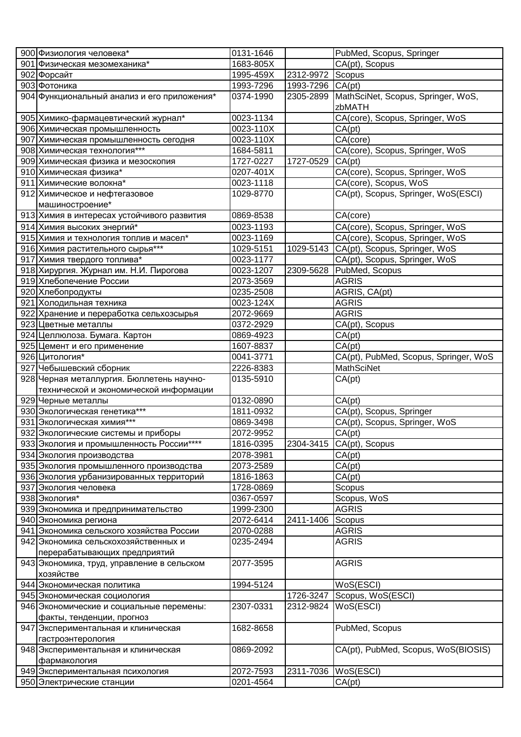| 900 Физиология человека*                                             | 0131-1646 |                  | PubMed, Scopus, Springer              |
|----------------------------------------------------------------------|-----------|------------------|---------------------------------------|
| 901 Физическая мезомеханика*                                         | 1683-805X |                  | CA(pt), Scopus                        |
| 902 Форсайт                                                          | 1995-459X | 2312-9972        | Scopus                                |
| 903 Фотоника                                                         | 1993-7296 | 1993-7296 CA(pt) |                                       |
| 904 Функциональный анализ и его приложения*                          | 0374-1990 | 2305-2899        | MathSciNet, Scopus, Springer, WoS,    |
|                                                                      |           |                  | zbMATH                                |
| 905 Химико-фармацевтический журнал*                                  | 0023-1134 |                  | CA(core), Scopus, Springer, WoS       |
| 906 Химическая промышленность                                        | 0023-110X |                  | CA(pt)                                |
| 907 Химическая промышленность сегодня                                | 0023-110X |                  | CA(core)                              |
| 908 Химическая технология***                                         | 1684-5811 |                  | CA(core), Scopus, Springer, WoS       |
| 909 Химическая физика и мезоскопия                                   | 1727-0227 | 1727-0529        | CA(pt)                                |
| 910 Химическая физика*                                               | 0207-401X |                  | CA(core), Scopus, Springer, WoS       |
| 911 Химические волокна*                                              | 0023-1118 |                  | CA(core), Scopus, WoS                 |
| 912 Химическое и нефтегазовое                                        | 1029-8770 |                  | CA(pt), Scopus, Springer, WoS(ESCI)   |
| машиностроение*                                                      |           |                  |                                       |
| 913 Химия в интересах устойчивого развития                           | 0869-8538 |                  | CA(core)                              |
| 914 Химия высоких энергий*                                           | 0023-1193 |                  | CA(core), Scopus, Springer, WoS       |
| 915 Химия и технология топлив и масел*                               | 0023-1169 |                  | CA(core), Scopus, Springer, WoS       |
| 916 Химия растительного сырья***                                     | 1029-5151 | 1029-5143        | CA(pt), Scopus, Springer, WoS         |
| 917 Химия твердого топлива*                                          | 0023-1177 |                  | CA(pt), Scopus, Springer, WoS         |
| 918 Хирургия. Журнал им. Н.И. Пирогова                               | 0023-1207 | 2309-5628        | PubMed, Scopus                        |
| 919 Хлебопечение России                                              | 2073-3569 |                  | <b>AGRIS</b>                          |
| 920 Хлебопродукты                                                    | 0235-2508 |                  | AGRIS, CA(pt)                         |
| 921 Холодильная техника                                              | 0023-124X |                  | <b>AGRIS</b>                          |
| 922 Хранение и переработка сельхозсырья                              | 2072-9669 |                  | <b>AGRIS</b>                          |
| 923 Цветные металлы                                                  | 0372-2929 |                  | CA(pt), Scopus                        |
|                                                                      | 0869-4923 |                  |                                       |
| 924 Целлюлоза. Бумага. Картон                                        | 1607-8837 |                  | CA(pt)<br>CA(pt)                      |
| 925 Цемент и его применение<br>926 Цитология*                        | 0041-3771 |                  | CA(pt), PubMed, Scopus, Springer, WoS |
|                                                                      | 2226-8383 |                  | <b>MathSciNet</b>                     |
| 927 Чебышевский сборник<br>928 Черная металлургия. Бюллетень научно- | 0135-5910 |                  |                                       |
|                                                                      |           |                  | CA(pt)                                |
| технической и экономической информации                               |           |                  |                                       |
| 929 Черные металлы                                                   | 0132-0890 |                  | CA(pt)                                |
| 930 Экологическая генетика***                                        | 1811-0932 |                  | CA(pt), Scopus, Springer              |
| 931 Экологическая химия***                                           | 0869-3498 |                  | CA(pt), Scopus, Springer, WoS         |
| 932 Экологические системы и приборы                                  | 2072-9952 |                  | CA(pt)                                |
| 933 Экология и промышленность России****                             | 1816-0395 |                  | 2304-3415 CA(pt), Scopus              |
| 934 Экология производства                                            | 2078-3981 |                  | CA(pt)                                |
| 935 Экология промышленного производства                              | 2073-2589 |                  | CA(pt)                                |
| 936 Экология урбанизированных территорий                             | 1816-1863 |                  | CA(pt)                                |
| 937 Экология человека                                                | 1728-0869 |                  | Scopus                                |
| 938 Экология*                                                        | 0367-0597 |                  | Scopus, WoS                           |
| 939 Экономика и предпринимательство                                  | 1999-2300 |                  | <b>AGRIS</b>                          |
| 940 Экономика региона                                                | 2072-6414 | 2411-1406        | Scopus                                |
| 941 Экономика сельского хозяйства России                             | 2070-0288 |                  | <b>AGRIS</b>                          |
| 942 Экономика сельскохозяйственных и                                 | 0235-2494 |                  | <b>AGRIS</b>                          |
| перерабатывающих предприятий                                         |           |                  |                                       |
| 943 Экономика, труд, управление в сельском                           | 2077-3595 |                  | <b>AGRIS</b>                          |
| хозяйстве                                                            |           |                  |                                       |
| 944 Экономическая политика                                           | 1994-5124 |                  | WoS(ESCI)                             |
| 945 Экономическая социология                                         |           | 1726-3247        | Scopus, WoS(ESCI)                     |
| 946 Экономические и социальные перемены:                             | 2307-0331 | 2312-9824        | WoS(ESCI)                             |
| факты, тенденции, прогноз                                            |           |                  |                                       |
| 947 Экспериментальная и клиническая                                  | 1682-8658 |                  | PubMed, Scopus                        |
| гастроэнтерология                                                    |           |                  |                                       |
| 948 Экспериментальная и клиническая                                  | 0869-2092 |                  | CA(pt), PubMed, Scopus, WoS(BIOSIS)   |
| фармакология                                                         |           |                  |                                       |
| 949 Экспериментальная психология                                     | 2072-7593 | 2311-7036        | WoS(ESCI)                             |
| 950 Электрические станции                                            | 0201-4564 |                  | CA(pt)                                |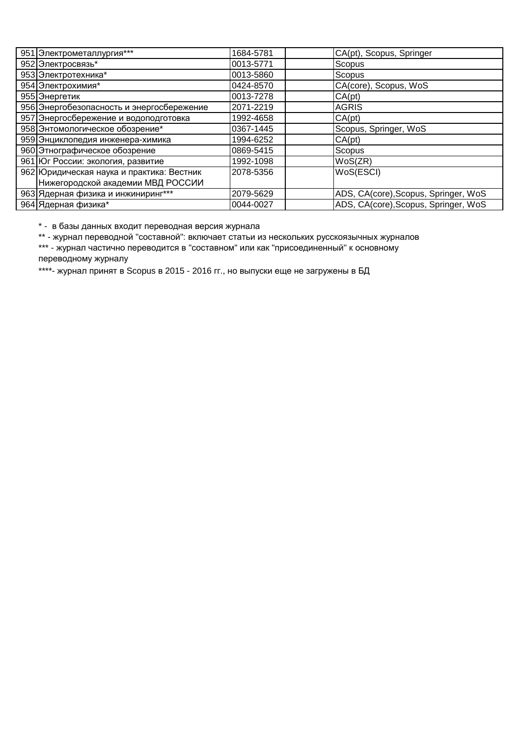| 951 Электрометаллургия***                 | 1684-5781  | CA(pt), Scopus, Springer             |
|-------------------------------------------|------------|--------------------------------------|
| 952 Электросвязь*                         | 0013-5771  | Scopus                               |
| 953 Электротехника*                       | 0013-5860  | Scopus                               |
| 954 Электрохимия*                         | 0424-8570  | CA(core), Scopus, WoS                |
| 955 Энергетик                             | 0013-7278  | CA(pt)                               |
| 956 Энергобезопасность и энергосбережение | 2071-2219  | <b>AGRIS</b>                         |
| 957 Энергосбережение и водоподготовка     | 1992-4658  | CA(pt)                               |
| 958 Энтомологическое обозрение*           | 0367-1445  | Scopus, Springer, WoS                |
| 959 Энциклопедия инженера-химика          | 1994-6252  | CA(pt)                               |
| 960 Этнографическое обозрение             | 0869-5415  | Scopus                               |
| 961 Юг России: экология, развитие         | 1992-1098  | WoS(ZR)                              |
| 962 Юридическая наука и практика: Вестник | 12078-5356 | WoS(ESCI)                            |
| Нижегородской академии МВД РОССИИ         |            |                                      |
| 963 Ядерная физика и инжиниринг***        | 2079-5629  | ADS, CA(core), Scopus, Springer, WoS |
| 964 Ядерная физика*                       | 0044-0027  | ADS, CA(core), Scopus, Springer, WoS |

\* - в базы данных входит переводная версия журнала

\*\* - журнал переводной "составной": включает статьи из нескольких русскоязычных журналов

\*\*\* - журнал частично переводится в "составном" или как "присоединенный" к основному переводному журналу

\*\*\*\*- журнал принят в Scopus в 2015 - 2016 гг., но выпуски еще не загружены в БД